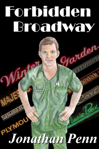# Forbidden Broad way

Im

**FRANCISCO** 

# Jonathan Penn

Innden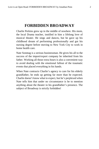## **FORBIDDEN BROADWAY**

Charlie Perkins grew up in the middle of nowhere. His mom, the local Drama teacher, instilled in him a lifelong love of musical theater. He sings and dances, but he gave up his childhood dream of performing professionally and got his nursing degree before moving to New York City to work in home health care.

Nate Sonntag is a serious businessman. He gives his all to the success of the import/export company he inherited from his father. Working all those extra hours is also a convenient way to avoid dealing with the emotional fallout of the traumatic events that placed everything in his hands.

When Nate contracts Charlie's agency to care for his elderly grandfather, he ends up getting far more than he expected. Charlie doesn't know what to expect, but he's perplexed when Nate tells him that under no circumstance is he to mention anything about the theater in his grandfather's presence. The subject of Broadway is strictly forbidden!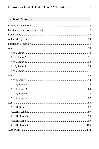#### **Table of Contents**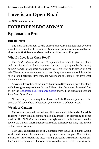# <span id="page-3-0"></span>**Love is an Open Road**

*An M/M Romance series*

# **FORBIDDEN BROADWAY**

### **By Jonathan Penn**

#### **Introduction**

The story you are about to read celebrates love, sex and romance between men. It is a product of the *Love is an Open Road* promotion sponsored by the *Goodreads M/M Romance Group* and is published as a gift to you.

#### **What Is Love is an Open Road?**

The *Goodreads M/M Romance Group* invited members to choose a photo and pen a letter asking for a short M/M romance story inspired by the image; authors from the group were encouraged to select a letter and write an original tale. The result was an outpouring of creativity that shone a spotlight on the special bond between M/M romance writers and the people who love what these authors do.

A written description of the image that inspired this story is provided along with the original request letter. If you'd like to view the photo, please feel free to join the [Goodreads M/M Romance Group](http://www.goodreads.com/group/show/20149-m-m-romance) and visit the discussion section: *Love is an Open Road*.

No matter if you are a long-time devotee to M/M Romance, just new to the genre or fall somewhere in between, you are in for a delicious treat.

#### **Words of Caution**

This story may contain sexually explicit content and is **intended for adult readers.** It may contain content that is disagreeable or distressing to some readers. The *M/M Romance Group* strongly recommends that each reader review the General Information section before each story for story tags as well as for content warnings.

Each year, a dedicated group of Volunteers from the M/M Romance Group work hard behind the scenes to bring these stories to you. Our Editors, Formatters, Proofreaders, and those working on Quality Assurance, spend many long hours over a course of several months so that each Event is a success. As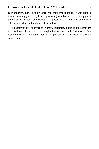each and every author also gives freely of their time and talent, it was decided that all edits suggested may be accepted or rejected by the author at any given time. For this reason, some stories will appear to be more tightly edited than others, depending on the choice of the author.

This story is a work of fiction. Names, characters, places and incidents are the products of the author's imagination or are used fictitiously. Any resemblance to actual events, locales, or persons, living or dead, is entirely coincidental.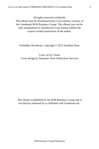All rights reserved worldwide.

This eBook may be distributed freely in its entirety courtesy of the Goodreads M/M Romance Group. This eBook may not be sold, manipulated or reproduced in any format without the express written permission of the author.

Forbidden Broadway, Copyright © 2015 Jonathan Penn

Cover art by Taomi Cover design by Romantic Penn Publication Services

This ebook is published by the *M/M Romance Group* and is not directly endorsed by or affiliated with Goodreads Inc.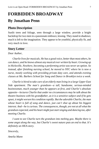# <span id="page-6-0"></span>**FORBIDDEN BROADWAY**

### **By Jonathan Penn**

#### **Photo Description**

Sunlit trees and foliage, seen through a large window, provide a bright backdrop for two men in a passionate embrace, kissing. They stand in shadows; much is left to the imagination. They appear to be youthful, physically fit, and very much in love.

#### **Story Letter**

*Dear Author,*

*Charlie lives for musicals. He has a good voice, better than most others, he can dance, and he knows almost any musical ever written by heart. Growing up in Hicksville, Nowhere, becoming a performing artist was never an option. So instead, after finishing nursing school, he moved to NYC where he is now a nurse, mostly working with providing private duty care, and attends evening classes at Ms. Barbers School for Song and Dance in Brooklyn twice a week.*

*Charlie is hired to take care of an elderly man living in a large Upper East Side apartment. The man's grandson—a tall, handsome, serious-minded businessman, much younger than he appears at first, and Charlie's absolute opposite—lectures Charlie that under no circumstances may he talk about the theatre business with his grandfather, as it is a sensitive subject and if he gets upset, it might worsen his condition rapidly. But the adorable Charlie, the man whose heart is full of song and dance, just can't shut up about his biggest interest. And—he is curious. The consequences, though, are not at all what the grandson expected, and his heart might just start singing and dancing too, after meeting Charlie.*

*I want to see Charlie turn the grandson into melting goo. Maybe there is some angst along the way, but Charlie's sweet nature puts an end to that. It's definitely an HEA-story.*

*Sincerely,*

*Amelia Mann*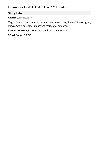#### **Story Info**

**Genre:** contemporary

**Tags:** family drama, nurse, businessman, celebrities, illness/disease, grief, hurt/comfort, age gap, flamboyant characters, humorous

**Content Warnings**: excessive speeds on a motorcycle

**Word Count:** 35,722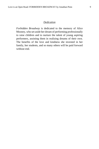#### *Dedication*

<span id="page-8-0"></span>*Forbidden Broadway* is dedicated to the memory of Alice Mooney, who set aside her dream of performing professionally to raise children and to nurture the talent of young aspiring performers, assisting them in realizing dreams of their own. The benefits of the love and kindness she invested in her family, her students, and so many others will be paid forward without end.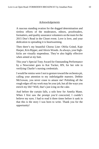#### *Acknowledgements*

<span id="page-9-0"></span>A raucous standing ovation for the dogged determination and tireless efforts of the moderators, editors, proofreaders, formatters, and quality assurance volunteers on the team for the 2015 Don't Read in the Closet event. Love is love, and your dedication to spreading it is heartwarming.

Then there's my beautiful Chorus Line: Ofelia Gränd, Kaje Harper, Kris Ripper, and Alexis Woods. As always, your highkicks are visually stupendous. They're also highly effective when aimed at my butt.

This year's Special Tony Award for Outstanding Performance by a Newcomer goes to Kat Tucker, RN, for her role in verifying Charlie's nursing credentials.

I would be remiss were I not to gesture toward the orchestra pit, calling your attention to my indefatigable maestro. Debbie McGowan, you never cease to amaze me! Polishing all the rough edges off my work may be your job, but all the ways you enrich my life? Well, that's just icing on the cake.

And before the curtain falls, a solo bow for Amelia Mann. When I first saw the prompt you'd concocted, I couldn't believe my eyes. I had to read it three times before it sank in that this is the story I was born to write. Thank you for the opportunity!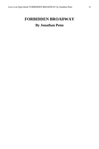# <span id="page-10-0"></span>**FORBIDDEN BROADWAY**

# **By Jonathan Penn**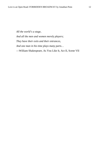*All the world's a stage, And all the men and women merely players; They have their exits and their entrances, And one man in his time plays many parts…* —William Shakespeare, As You Like It, Act II, Scene VII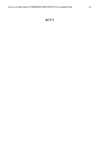# <span id="page-12-0"></span>**ACT I**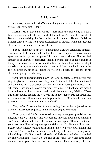#### **Act I, Scene 1**

<span id="page-13-0"></span>"Five, six, seven, eight. Shuffle-step, change. Sway. Shuffle-step, change. Sway. Turn, turn, turn—Stop!"

Charlie froze in place and winced—more from the cacophony of Seth's hands collapsing onto the keyboard of the old upright than the thwack of Barbara's cane striking the floor or her shrill command. He and his fellow dancers turned to face front, grim expressions all around, while their teacher strode across the studio to confront them.

"Strode" might have been overstating things. It always astonished him how a woman built like a yardstick, and with a serious limp, could move with a speed and authority that put powerful locomotives to shame. She marched straight up to Charlie, stepping right into his personal space, and looked him in the eye. Her mouth was drawn in a thin line, but he couldn't miss the slight twinkle in her eye as she slowly shook her head. He knew he'd spun in the correct direction, but in his peripheral vision he'd seen at least one of his classmates going the other way.

She turned and began pacing down the row of dancers, stopping every few steps to give each person an assessing stare. At the end of the line, she turned and came back in his direction, passing him and inspecting the troops to his other side. Once she'd bestowed her gimlet eye on all eight of them, she moved back to the center, looking at no one in particular and asking, "Melinda? Does this turn sequence begin to the left, or to the right?" Mel cleared her throat and, in a meek voice, allowed as how it began to the left. "Charlie? Is there any pattern to the turn sequences in this number?"

"Yes, ma'am!" No one had trouble hearing Charlie; he projected to the balcony. "Every turn sequence in this number begins to the left."

"Thank you, both." After one more slow sweep of her gaze up and down the line, she went on. "I made it that way because I thought it would be simpler. I don't know what else to try." She shook her head again. "If you're not sure, your best bet will be to keep one eye on Melinda or Charlie and follow them. Better you're slightly behind, than turning the wrong way and running into someone." She bowed her head and closed her eyes, her nostrils flaring as she inhaled deeply. Her lips pursed as she released the breath, and when she looked up, she was smiling. "Okay. Not the end of the world. The other three group numbers are in great shape, and we have two more Thursdays to get this one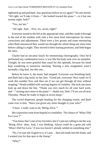tightened up and polished. Any questions before we try again?" No one stirred. "All right, we'll take it from—" she looked toward the piano "—is it bar one twenty-eight, Seth?"

"Yes, ma'am."

"All right. And… Five, six, seven, eight!"

Everyone turned to the left at the appropriate time, and they made it through to the end of the number with only a few more brief interruptions for minor corrections and adjustments. There were a few groans and some murmuring when Barb announced they would run through the whole thing one more time before calling it a night. They moved to their starting positions, and Seth began the intro.

Charlie had an uncanny knack for memorizing choreography. Once he'd performed any combination twice, it was like his body took over on autopilot. Tonight, he was more grateful than usual for this aptitude, because his mind kept wandering to tomorrow morning. Starting a new assignment wasn't normally a big deal, but this one…

Before he knew it, the music had stopped. Everyone was breathing hard, and Barb had a big smile on her face. "Good job, everyone! Next week we'll work this number first, and then see if we can get through all four without stopping." Heads nodded with varying degrees of credulity. She took one more look up and down the line. "Thank you very much for all your hard work, and—" turning once more to the piano "—thank you, Seth. I'll see you all next Thursday. Please be ready to begin at seven sharp."

The crowd dispersed, people heading for the changing rooms, and Barb came over to him. "Have you given any more thought to your solo?"

"I have. I really want to do 'Being Alive.'"

Her expression went from hopeful to crestfallen. "No chance of 'What I Did For Love'?"

"You know that's one of my favorites, but it's just not calling to me the way 'Being Alive' does. And, I was thinking, Alison could do a great job with 'What I Did For Love,' if you two haven't already settled on something else."

"No, I'm sure she'd agree to it, it's just… that solo leads into the finale, and I wanted you for that spot in the lineup."

"Why?"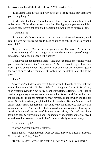"Like Mama Rose always said, 'If you've got a strong finish, they'll forgive you for anything."

Charlie chuckled and glanced away, pleased by her compliment but embarrassed. "Alison has an awesome voice. She'll give you your strong finish. And besides, there's not going to be anything they'll need to forgive us for."

"You think so?"

"I know so. You've done an amazing job putting this recital together, and I can't believe how lucky we are to have so much talent. There's really not a weak link"

"I agree… mostly." She scrunched up one corner of her mouth. "I mean, the 'dancers who sing' all have strong voices. But there are a couple of 'singers who dance' who could dance a little better."

"Thank you for not naming names—though, of course, I know exactly who you mean—but you're like *The Miracle Worker*. Six months ago, those two were tripping over their own feet, even on easy combinations. Now they get all the way through whole routines with only a few mistakes. You should be proud."

"I am."

A wave of gratitude washed over Charlie when he thought of how lucky he was to have found Mrs. Barber's School of Song and Dance, in Brooklyn, shortly after moving to New York a year before. Barbara Barber. He still had to quell a laugh every time her name came to mind. When he'd first walked into the school and introduced himself, he must have made a face when she said her name. She'd immediately explained that she was born Barbara Simmons and almost didn't marry her husband, Jerry, due to the ramifications. True love had won out in the end. And their love had survived some rocky years following the accident that ended her dream of dancing on Broadway. Charlie knew about letting go of big dreams. He'd done it deliberately, as a matter of practicality. It would have hurt so much more if they'd been suddenly snatched away…

"…at seven, right?"

"Sorry?" *Someone's been dreaming.*

She laughed. "Welcome back. I was saying, I'll see you Tuesday at seven. We'll work on 'Being Alive.'"

"Right. Tuesday. Seven." He cracked a wide grin. "Thank you, Barb."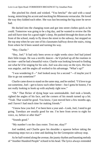She pinched his cheek and winked. "You betcha!" she said with a nasal twang, mimicking his accent and mocking his Minnesota vernacular. He loved the way they kidded each other. She was fast becoming the big sister he never had.

He ducked into the changing room and got into street clothes quick as he could. Tomorrow was going to be a big day, and he wanted to review the file and still have time for a good night's sleep. He pushed through the doors at the front of the school, ready to fly down the street to the subway, but stopped on the top step when he saw one of his classmates halfway down the stairs, rising from where he'd been seated and turning his way.

"Hey, Charlie."

"Hey, Joel." It had only been seven or eight weeks since Joel had joined their little troupe. He was a terrific dancer—he'd picked up all the routines in no time—and he had a beautiful voice. Charlie was looking forward to finding out what he'd be singing for his solo. Joel was also easy on the eyes. His face was angular, and the angles all worked to his advantage. "What's up?"

"I was wondering if—" Joel looked away for a second "—if maybe you'd like to go out sometime?"

Charlie came down to stand on the same step, and he smiled. "I'd love to go out sometime, Joel—get to know each other better—but I gotta be honest, I'm not really looking to hook up with anybody right now."

"Oh." That flicker of dying hope was unmistakable. Joel took a breath, righted the angles of his face, and the corners of his mouth turned up a bit. "Yeah. That would be good. You know, I just moved here a few months ago, and I haven't had much time for making friends."

"I know how you feel. I've been here a year and—Look, Joel, I need to get going. Tuesdays are usually good for me. I'm here from seven to eight for voice, so, before or after that?"

"Sounds good."

"My number's on the class roster. Text me, okay?"

Joel nodded, and Charlie gave his shoulder a squeeze before taking the remaining steps two at a time and dashing for the Greenpoint subway stop.

As he half-trotted along the avenue, the jaunty rhythm and haunting melody of "Another Hundred People" echoed in his head. The lyrics always reminded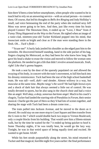him there'd been a time before smartphones, when people who wanted to be in touch had to rely on an answering service—with an actual person—to connect them. Of course, that led his thoughts to *Bells Are Ringing* and Judy Holliday's small, sad voice bemoaning the end of the party when she realized sexy Jeff Moss was never going to be hers. And then, just like every time his brain played Connect The Showtune Dots, it ended up on "Love, I Hear" from *A Funny Thing Happened on the Way to the Forum*. He sighed when an image of a tunic-clad, nineteen-year-old Tucker Kirkland popped into his mind, that insouciant smile as bright and clear as if the man were standing there in the flesh. *Oh… Tuck's flesh—*

"Scuze me!" A burly lady jostled his shoulder as she edged past him to the turnstiles. He discovered himself standing, hand in the side pocket of his bag, fingers clasping his Metrocard, as they had been for who knew how long. He gave his head a shake to erase the vision and moved to follow the woman onto the platform. He needed to get a life that didn't revolve around musicals. *Yeah, right! Like that's gonna happen.*

He took a seat by the door of the sparsely populated car and allowed the swaying of his body, in concert with the train's movement, to lull him back into his dreamy reminiscence. Tuck had been the star of the high school basketball team. He was tall—*well, duh!—*and slender. Almost willowy in a way, but muscular at the same time. *Maybe rangy's the word?* He had light-brown eyes and a shock of dark hair that always seemed a little out of control. He was totally devoted to sports, but he also sang in the church choir and had a voice like an angel. *Well okay, a deep, sonorous baritone angel.* Much to his coach's chagrin, Tucker had landed the starring role of Pseudolus in *Forum*, their senior musical. Charlie got the part of Hero so they'd had lots of scenes together, and sharing the stage with Tuck had been a dream come true…

The train pulled into Jackson Avenue, and he moved to the doors as it slowed. He could stay on one more stop to Court Square and then transfer from the G train to the 7 which would double back two stops to Vernon Boulevard, only a couple blocks from his building. That would save him a fifteen-minute walk, but by the time he waited for the 7 it ended up being quicker to hoof it. Some Thursday nights, if he was totally beat, he would go the lazy way. Tonight, he was in that weird space of being equally tired and excited. He wanted to get home ASAP.

While his feet strode purposefully along the street, his mind returned to Tucker and that magical, horrible night five years earlier: the final performance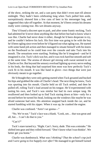of the show, striking the set, and a cast party that didn't even start till almost midnight. They hadn't been celebrating long when Tuck pulled him aside, surreptitiously showed him a few cans of beer in his messenger bag, and suggested they take off together. At that moment, he'd been certain his dreams really were coming true. His wet dreams anyway.

They'd found a discreet spot to park, and after some frantic necking, Tuck had admitted he'd never done anything like that before but had to know what it was like. Charlie had never done it either, though he'd been desperate to try, and he couldn't believe his luck. His first time was going to be with the boy he'd been ogling since even before he'd figured out what ogling was. He started with some hand-job action and then managed to situate himself with his knees on the floorboard so he could lean over the console and take Tuck into his mouth. The sensations were startling. Nothing like he'd imagined—and he'd imagined it a lot. Tuck's dick was hot, and it was rock hard but smooth and soft at the same time. The aroma of shower gel mixing with sweat seemed to set Charlie on fire. But beyond the sensory overload lighting up every nerve ending in his body, the thing that had surprised him most was how perfectly Tuck's cock fit in his mouth. It was like hand in glove—two things that were just obviously meant to go together.

He'd thought they were only getting started when Tuck groaned and bucked his hips and grabbed the sides of Charlie's head. The next thing he knew, Tuck was spurting into his mouth. Charlie held on till Tuck settled, and then he pulled off, rolling Tuck's load around on his tongue. He'd experimented with tasting his own, and Tuck's was similar but had its own unique tang. He swallowed and then looked up to find Tuck staring down at him—only for a second before he turned his head, looking out the windows like maybe he was afraid someone had seen. His attention snapped back inside the car, and he started fumbling with his zipper. When it was up, he cranked the engine.

Charlie was confused. "Aren't we gonna—"

"No. We're not." Tuck's face was a blank. "Look, um… that was great and all, but… I can't do that to you."

"Can't?"

Tuck's stare turned icy. "Right. Can't. Sorry, dude. This was a mistake." He shifted into gear and they rolled forward. "Don't know what I was thinkin'. We better get you home."

Charlie was dumbstruck. *What was I thinking? That the school's top jock and I were going to live happily ever after?* He managed to get himself turned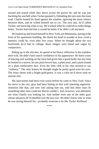around and seated while they drove across the gravel lot, and he was just buckling his seat belt when Tucker gunned it, fishtailing the turn onto the main road. Charlie leaned his head against the window, ignoring the stony silence between them, and he willed himself not to cry. The next day, he'd called Tucker, not knowing what to say. He'd asked what he could do to make things better. Tucker had told him it would be better if he didn't call anymore.

He looked up and found himself in New York, not Minnesota, staring at the front of his apartment building. He shook his head in wonder at how vivid a memory could be, even after five years. When he thought about the two boyfriends he'd had in college, those images were bland and vague by comparison.

Riding up in the elevator, he gazed at his blurry reflection in the stainless steel wall. He didn't have much confidence in his appearance. He knew years of dancing and working on the farm had given him a good build, but any time he looked in a mirror, he saw plain brown hair, a plain nose, and a plain mouth on a plain midwestern face. Even the little cleft in his chin seemed to say "ordinary." The only feature he thought might be pretty good were his eyes. The irises shone with a bright gold-green. It was a color he'd never seen on anyone else.

His insecurities had been even worse before he came to New York. Since his move to the city, guys had been hitting on him with alarming regularity. Attention like that, and now Joel asking him out, told him there must be something other men could see that he couldn't. Joel, however, was definitely not what Charlie was looking for. And neither were any of the other guys whose advances he'd rebuffed over the last year. He didn't know who or what he was saving himself for—*probably someone a lot like Tucker Kirkland*.

\*\*\*\*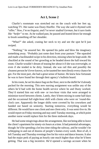#### **Act I, Scene 2**

<span id="page-20-0"></span>Charlie's roommate was stretched out on the couch with her feet up, watching TV. Her name was Dusty Hoeffer. The way she said it rhymed with "offer." *Now, I'm no linguist, and I've never studied German, but it sure looks like "heifer" to me.* As he walked past, he paused and leaned down far enough to brush something off her shoulder.

"What?" she asked, craning her neck to try and see the spot he'd just swiped.

"Nothing," he assured her. He opened his palm and blew the imaginary something away. "Probably just some dust from your pasture." She squealed and made a backhanded swipe in his direction, missing when he leapt aside. He chuckled at the sound of her growling as he headed down the hall toward his room. Charlie wouldn't dream of teasing her about it if she was overweight, or even if she tended to be dirty. Instead, she was rail thin and possibly the cleanest person he'd ever known, so he taunted her mercilessly every chance he got. For the most part, she had a great sense of humor. He knew how fortunate he was to have found her through their agency's bulletin board.

In his room, he set his dance bag on the floor, next to the duffel he'd already packed for the morning. This new nursing assignment was unlike any of the others he'd had with the home health service where he and Dusty worked. They'd started him out with one- or two-hour visits that were arranged to minimize travel between clients. Lately, they'd been mixing in some half days and the occasional full eight-hour shift with clients who were on 'round-theclock care. Apparently the longer shifts were coveted by his coworkers and handed out based on seniority. Starting tomorrow, everything would be different. He would have one client and one client only. It was semi-live-in. He would report on Friday morning and stay until Tuesday morning, at which point another nurse would replace him for the three midweek days.

He had some misgivings about the arrangement, like not being able to leave the client's apartment for ninety-six hours at a time. It had potential advantages, though: he'd be spending a lot less time riding the subway, and he wouldn't be schlepping in and out of dozens of people's homes every week. Best of all, it left Tuesday and Thursday evenings free for his voice and dance lessons. It also had the major perk of paying an hourly rate much higher than what he'd been getting. That was a big incentive. He'd opened a savings account when he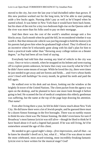moved to the city, but over the last year it had dwindled rather than grown. If this new position worked out for the long term, he'd be able to start putting aside a few bucks again. Nursing didn't pay as well as he'd hoped when he started school. It was better in New York than it would have been back home, but his share of the rent for a tiny two-bedroom high-rise on the Queens side of the river was more than his folks used to pay on their mortgage.

And then there was the cost of the world's smallest storage unit a few blocks away. Each month when he paid the bill, he reconsidered whether it was worth it. But that minuscule cubicle was just big enough to hold the motorcycle his parents had given him when he graduated high school. They'd offered it as an incentive when he'd reluctantly gone along with his dad's plan for him to learn a practical trade rather than "throwing away college tuition on a theater degree," as Pop had been all too fond of saying.

Everybody had told him that owning any kind of vehicle in the city was crazy. Once or twice a month, when he strapped on his helmet and went roaring off to explore points unknown, he knew that crazy was exactly what he'd be if he didn't have some means of escape. While he loved the city, there were times he just needed to get away and see forests and fields… *and rivers whose banks aren't lined with buildings!* So every month, he gritted his teeth and paid the bill again.

He walked over to his desk and sat down, looking out the window at the brightly lit tower of the United Nations. The client packet from the agency was open on the desktop, and he planned to have one more look through it before going to bed. He scanned the list of medical complaints this elderly gentleman was suffering, but the name at the top of the page kept drawing his attention. *That name!*

Even after living there a year, he felt he didn't know much about New York City. He did know there were a lot of Jewish people, and he guessed there must be a dozen Simon Sonntags in the five boroughs. There was no earthly reason to think his new client was *The* Simon Sonntag. He didn't even know for sure if Broadway's most famous lyricist was still alive—though he liked to think he'd have heard about it if such a legend had passed. If he was still living, he'd be somewhere around the age of this client.

He needed to get a good night's sleep—*first impressions, and all that*—so he knew he shouldn't dwell on it, but, what if… What if he was about to meet the most celebrated, most award-winning, most incredibly-freaking-fantastic lyricist ever to have written for the musical stage? *God!*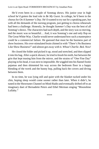He'd even been in a couple of Sonntag shows. His junior year in high school he'd gotten the lead role in *Be My Guest*. In college, he'd been in the chorus for *On A Summer's Day*. He'd wanted to try out for a speaking part, but with all the demands of the nursing program, just getting to chorus rehearsals had been a challenge. Honestly, he thought *Summer's Day* was the best of all Sonntag's shows. The characters had such depth, and the story was so moving, and the music was so beautiful… And, it was Sonntag's one and only flop on The Great White Way. Charlie would never understand how such a masterpiece could be a commercial failure. He guessed that must be the business part of show business. His over-stimulated brain chimed in with "There's No Business Like Show Business!" and almost got away with it. *Whoa! Charlie. Bed. Now!*

He closed the folder and picked it up, stood and stretched, and then slipped it into his bag. After a quick shower, he tried to brush his teeth, but between the grin that kept teasing him from the mirror, and the strains of "One Fine Day" playing in his head, it was next to impossible. He wiggled into his flannel footie pajamas and then shimmied his way across the bedroom floor in a happy blending of the twerk and the bunny hop, pulling back the covers and diving between them.

In no time, he was lying still and quiet with the blanket tucked under his chin, hoping sleep would come sooner rather than later. When it didn't, he tuned in the Showtunes Channel on Mind-Radio and eventually drifted off to an imaginary duet of Bernadette Peters and Ethel Merman singing "Moonshine Lullaby."

\*\*\*\*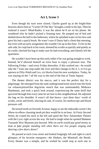#### **Act I, Scene 3**

<span id="page-23-0"></span>Even though his eyes were closed, Charlie gazed up at the bright-blue heavens above him as "Corner Of The Sky" brought a smile to his lips. Then he realized it wasn't Mind-Radio; it was the alarm he'd set on his phone. He wondered why he hadn't picked a Sonntag tune. He jumped out of bed and dashed down the hall to the bathroom, where he splashed water on his face and gave his hair a quick brush. He wasn't sure if Dusty had a client that morning, but even with an early assignment she wouldn't be up at this hour. To be on the safe side, he crept back to his room, donned his scrubs as quickly and quietly as he could, checked his bag to make sure he had everything, and silently left the apartment.

He wouldn't have been up this early either if he was going straight to work. Instead, he'd allowed himself an extra hour to enjoy a pleasure tour. The following Friday—and every Friday thereafter, if this worked out—he would take the 7 train one stop under the river and then change to the 4, 5, or 6 to go uptown to Fifty-Ninth and Lex, six blocks from his new workplace. Today, he was staying on the 7 all the way to the end of the line at Times Square.

The theater district was his mecca, and it was the perfect day for a pilgrimage. He emerged from the stale underground/urine stench into the fresh car exhaust/pretzel/hot dog/urine stench that was unmistakably Midtown Manhattan, and took a quick look around, experiencing the same thrill that quivered through him every time he set foot in this neighborhood. He adjusted the bag on his shoulder. It wasn't all that heavy—just three days' worth of scrubs, socks and briefs, shaving kit and, of course, his stethoscope and blood pressure cuff.

He turned north on Seventh Avenue, happy to see the sidewalks weren't the elbow-to-elbow churning mosh pit they would be in an hour. At Forty-Second Street, he craned his neck to the left and spied the New Amsterdam Theatre with the Lyric right across the way. He had to laugh when he spotted Madame Tussauds Wax Museum just beyond. *Who on earth would pay good money to look at fake people standing still when there are live people singing and dancing a few doors down?*

He paused at each cross street and looked longingly left and right to catch glimpses of his favorite marquees—the Shubert, the Minskoff, the Booth. Every theater was a temple, and he wished he could stop at each one to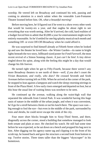worship. He veered left on Broadway and continued his trek, pausing and coming to attention in a mock salute when the venerable Lunt-Fontanne Theatre loomed before him. *Oh, what a beautiful morning!*

Before moving here, he'd figured out if he went to a show every other week that would be twenty-six a year, and that oughta be about right to see everything that was worth seeing. After he'd arrived, the cold, hard realities of a budget forced him to admit that \$3,000 a year for entertainment might not be entirely reasonable. So he'd settled for one big splashy musical each month and something Off- or even Off-Off-Broadway when he could afford it.

He was surprised to find himself already at Fiftieth Street when he looked up and saw the theater he loved best—the Winter Garden—its name in bright lights beneath the two-story, billboard-sized poster for *Fond Farewell*, the most recent revival of a Simon Sonntag classic. *It just can't be him!* A tiny shiver tingled down his spine, along with the feeling this might be a day that would change his life forever.

He turned right when he got to Fifty-Fourth, because there weren't any more Broadway theaters to see north of there—*well, if you don't count the Vivian Beaumont, and really, who does?* He crossed Seventh and Sixth Avenues before turning left on Fifth. When he arrived at the corner of the park, he stopped to lean against a lamppost and watch the sleepy morning stirrings in front of the Plaza Hotel. A few early risers emerged and departed on foot, but at this hour the usual line of waiting limos was nowhere to be seen.

He continued up the avenue, walking along the waist-high wall that separated the sidewalk from Central Park. It was wonderful having this huge oasis of nature in the middle of the urban jungle, and when it was convenient, he'd go for a stroll between clients or eat his lunch there. The space was vast big enough to fool the eye—but even in the middle of the park, surrounded by trees and shrubs, he could never escape the stink of the city.

Four more short blocks brought him to Sixty-Third Street, and there, diagonally across the corner, stood a building that somehow managed to look both ornate and plain at once. He checked his watch. He still had some time before he was expected, so he sat down on a bench and propped his bag next to him. After digging out his agency name tag and clipping it to the front of his scrub top, he leaned back and gave the structure a second look from bottom to top. Twelve stories. Three times taller than the biggest "skyscraper" in his hometown.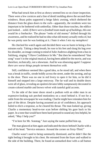What had struck him at first as showy seemed less so on closer inspection. There were a few cornices and a line of dentil molding above the second-floor windows. Brass poles supported a beige fabric awning, which sheltered the distance from the glass doors to the curb—apparently, the residents were too important to be bothered with umbrellas. Other than those touches, the edifice just looked… solid. *If there were a football team made up of buildings, this one would be a linebacker.* The phrase "reeks of old money" drifted through his awareness, and he realized he had no idea what old money actually reeks of, but he was pretty sure he was looking at it. *I hate it when I mix my metaphors!*

He checked his watch again and decided there was no harm in being a few minutes early. Taking a deep breath, he rose to his feet and slung his bag over his shoulder, an image coming to mind of Julie Andrews alighting from a busin Salzburg, singing "I Have Confidence In Me." But then he remembered "that song" wasn't in the original musical, having been added for the movie, and was therefore, technically, not a showtune. And he was obsessing again! *I suppose there are worse things people torment themselves with.*

Still, confidence seemed like a good idea, so he stood tall, and when there was a break in traffic, strode boldly across the street, under the awning, and up to the door. There was no one in red livery to open it for him, so he did it himself and stepped into a large entryway. The far wall and its double doors were all of glass, revealing an opulent elevator lobby sumptuously decorated in cream-colored marble and brown velvet with tasteful gold accents.

To the side of the inner doors stood a podium with an older man in an expensive-looking suit perched motionless on a stool behind it. If not for a rattle from the newspaper he was reading, Charlie might have mistaken him for part of the décor. Despite having assumed an air of confidence, his approach failed to elicit a response, so he cleared his throat. The man looked up, giving Charlie a momentary head-to-toe scan before shifting his gaze back to his paper. In a tone that would have been hard-pressed to sound any less helpful, he asked, "May I help you?"

"I'm here for Mr. Sonntag." Just saying the name puffed him up.

The man glanced at him again and indicated the doors behind Charlie with a nod of his head. "Service entrance. Around the corner on Sixty-Third."

Charlie wasn't used to being summarily dismissed, and he didn't like the tight feeling it brought to his chest. He retreated from the foyer and walked to the side of the building. There, he found an unmarked door with a call button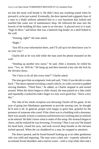set into the stone wall beside it. He didn't hear any resulting sound when he pressed it, so he just waited. Eventually, the door opened and a gigantic bear of a man in a khaki uniform admitted him to a vast basement that looked and smelled like some sort of maintenance shop. He followed the man into the bowels of the building till they came to an elevator. A placard next to it read, "Sign In Here," and below that was a battered ring binder on a shelf bolted to the wall.

"Sonntag, right?" the man asked.

"Right."

"Just fill in your information there, and I'll call up to let them know you're on your way."

Charlie did as he was told while the man used the phone mounted on the wall.

"Sending up another new nurse," he said. After a moment, he rolled his eyes. "Yes, sir. Will do." He hung up and then inserted a key into the lock by the elevator doors.

"Do I have to do all this every time?" Charlie asked.

The man gave him an enigmatic look and said, "Only if you decide to come back." The doors opened revealing a small cubicle, its walls covered in padded moving blankets. "Third floor," he added, as Charlie stepped in and turned around. When the doors began to slide closed, the man pasted on a fake smile and repeatedly crooked his index finger in a tiny wave good-bye. "Have a nice day."

The vibe of his whole reception was throwing Charlie off his game. In his year of going into Manhattan apartments to provide nursing care, he thought he'd seen it all. In general, people were happy to greet him, grateful for the presence of someone who cared. If the client was in a building with a doorman, there was usually at least a courteous nod between two working men in uniform as he entered. He didn't know what to make of this setup. His stomach began to churn, and he realized he was frowning. *Frowning? That is not you!* He leaned his head back, closed his eyes, and took several deep breaths as the elevator inched upward. When the car shuddered to a stop, he snapped to attention.

The doors opened, and he found himself looking up at an older gentleman who was solid and imposing. The man wore a dark suit—expertly tailored to accentuate broad shoulders and a narrow waist—with a crisp white shirt and a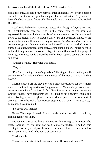brilliant-red tie. His dark-brown hair was thick and neatly styled with a part on one side. But it was the eyes that caught Charlie's attention. They too were brown but had arresting flecks of brilliant gold, and they widened as he looked at Charlie.

It took only the briefest moment to register that, though older, this man was still breathtakingly gorgeous. And in that same moment, the scar also registered. It began an inch above his left eye and ran across his temple and down to his cheek, where it made a sharp turn and extended almost to the corner of his mouth. It was subtle—*a guy in a suit like that can afford the best cosmetic surgeons*—but not subtle enough it could be missed. He had to force himself to glance, not stare, at the scar... or the stunning man. Though polished and posh in appearance, it was clear this gentleman suffered no similar pangs of humility. He stood, hands clasped behind his back, openly eyeing Charlie up and down.

"Charles Perkins?" His voice was steely.

"Yes, sir."

"I'm Nate Sonntag, Simon's grandson." He stepped back, making a stiff gesture toward a table and chairs in the center of the room. "Come in and sit down."

Charlie stepped off the elevator with a new appreciation for how Maria must have felt walking into the von Trapp mansion. *At least she got to make her entrance through the front door.* In fact, Nate Sonntag's bearing was so severe Charlie wouldn't have been surprised if he'd pulled out a bosun's whistle and started issuing orders. He glanced around what appeared to be some sort of servants' area as he took a few cautious steps into the room. "This is... nice," he managed to squeak out.

"Sit down, Mr. Perkins!"

He sat. The strap slithered off his shoulder and his bag slid to the floor, leaning against his thigh.

Mr. Sonntag cleared his throat. "I have an early meeting, so this needs to be brief. Roger will tell you what you need to know for today. I'll be back this evening to instruct you fully on the rules of the house. However, there are a few crucial points you need to be aware of before I go."

Charlie nodded.

"Simon is your patient, but I am your client. Do you understand?"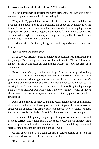"Stern" didn't begin to describe the man's demeanor, and "No" was clearly not an acceptable answer. Charlie nodded again.

"Very well. My grandfather is an excellent conversationalist, and talking is good for him, but don't bring up our family, and above all, do not mention the theater." Charlie's puzzlement must have shown on his face, prompting his new employer to explain, "These subjects are troubling for him, and his condition is delicate. What might be a minor upset for a person in good health, could easily put him into a life-threatening tailspin."

Charlie nodded a third time, though he couldn't quite believe what he was hearing.

"Do you have any questions?"

It was obvious that answering an employee's questions was the last thing on the younger Mr. Sonntag's agenda, so Charlie just said, "No, sir." From the tightness in his jaw, he could tell that the uncharacteristic frown had crept back onto his face.

"Good. Then let's get you set up with Roger," he said, turning and walking away at a brisk pace, no doubt expecting Charlie would scurry after him. They passed a kitchen, which appeared to be about the size of his and Dusty's apartment, and went through an alcove into a long, open space that looked like an art gallery. The walls were lined with marble columns. Brightly lit paintings hung between them. Charlie wasn't sure if they were impressionist, or maybe abstract—*art is so not my thing*—but these weren't pretty pictures of people or landscapes.

Doors opened along one side to a dining room, a living room, and a library, all of which had windows looking out on the treetops in the park across the street. On the opposite side there was a vestibule with two elevators. *The ones for the real people.* He chided himself for the bitter tone of that thought.

At the far end of the gallery, they stepped through a door and across one end of a long corridor into what must have once been a bedroom. On one side, there was a large work table with a computer. A countertop held lab equipment and stacks of medical supplies along the opposite wall.

As they entered, a brawny, buzz-cut man in scrubs pushed back from the computer and rose to greet them, extending his hand.

"Roger, this is Charles."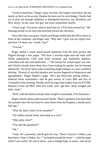"Good to meetchya." Roger's grip was firm. His fingers were thick, but not nearly as thick as his accent. Despite his keen ear for such things, Charlie had yet to pick out enough subtleties to distinguish between, say, Brooklyn and New Jersey. In any case, this guy was from somewhere nearby.

"I have to go. You know what to brief him on. I'll be back around six." Mr. Sonntag turned on his heel and marched toward the elevators.

Once their boss was gone, Charlie and Roger settled into the office chairs in front of the computer, and Roger said, "Why don' I give you my report first, and then I'll show you 'round, 'kay?"

"You het."

Roger pulled a small spiral-bound notebook from his shirt pocket and flipped through a few pages. "We have a seventy-eight-year-old male with AFIB, palpitations, CHF with fluid overload, and borderline diabetes, controlled with diet and metformin…" The format for verbal report was rote, and Charlie already knew these facts from reading his packet, but he listened attentively. *You never know when something might change, or a new condition develop.* "History of suicidal ideation and current diagnosis of depression and agoraphobia." Roger flipped a page. "He's got three-plus pitting edema bilateral lower extremities—and he gets twenty of Lasix BID and five of Coumadin in the morning. Weekly stick for sugar and weekly draw for PT/INR. Monitor O-two sat PRN, limit free water, and—get this—daily weights and daily vitals."

"Well, with the fluid overload, daily weight is reasonable, if he fluctuates."

Roger raised a meaty palm toward Charlie. "Hasn't gained or lost more than two pounds since the last time he came home from the hospital, a month and a half ago."

"Why the daily vitals? Is he unstable?"

"All within normal limits and stable as a rock."

"Why daily, then?"

"You met the grandson?"

"Oh."

"Yeah. He's paranoid, and he gets his way. There's Doctor's Orders, and then there's Nate's Orders. So—" he looked around the room "—I did his sugar while I was waitin' for you to show—just a smidge high, as usual—and we do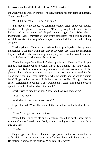the weekly blood work over there," he said, pointing his chin at the equipment. "You know how?"

"We did it in school… it's been a while."

"I already drew the blood. We can run it together after I show you 'round, but damn"—he glanced at his watch—"I'm ready to get outta here." Roger looked back to his notes and flipped another page. "So… What else… Independent ADLs, transfers without assist, ambulates with a rolling walker, which he consistently 'forgets' and our job is to 'remind' him," he said, making air quotes.

Charlie grinned. Many of his patients kept up a façade of being more independent with daily living than they really were. Providing the assistance they needed while also maintaining their dignity was a fine line to walk and one of the challenges Charlie loved about his job.

"Yeah, I hope you're still smilin' when I get back on Tuesday. The old guy can be a real meanie when he wants. Can't say's I blame 'im. You want my opinion, twenty-four seven nursing is way-overkill. An assistant would be plenty—they could stick him for the sugar—a nurse maybe once a week for the blood draw, but like I said, Nate gets what he wants, and he wants a nurse here." Roger rubbed the back of his thick neck and smiled. "It's gotta be the easiest assignment I ever had… or it would be if it didn't mean being cooped up with these freaks three days at a stretch."

Charlie tried to hide his wince. "How long have you been here?"

"'Bout five months."

"And why did the other person leave?"

Roger chortled. "Wasn't her idea. Or the one before her. Or the three before that."

"Wow." His tight frown had returned.

"Yeah, I don't think the old guy really likes me, but he must respect me or somethin' 'cause I'm still here. Look, how's 'bout I give you that tour so I can bug out, 'kay?"

"You betcha."

They stepped into the corridor, and Roger pointed at the door immediately to their left. "That's Simon's room. Let's finish up there, and I'll introduce ya." He motioned across to the gallery. "You came that way?"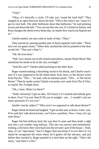"Yeah."

"Okay, it's basically a circle, I'll take you 'round the back half." They stopped at an open doorway down the hall. "This is the room I use 'cause it's got its own bath. The other bedrooms share that bathroom," he said pointing across and down the hall. "You can use this one, too. It's closest to Simon, and Rosa changes the sheets every damn day, no matter how much you beg her not to."

Charlie smiled, not sure what to make of that. "Okay."

They moved on, passing another pair of doors opposite each other. "These next two are guest rooms." When they reached the end he pointed to the door on the left. "That one's Nate's."

"Oh. He lives here."

"Nah. Got a house out on the island somewheres, maybe North Shore? But sometimes he needs to be in the city overnight."

"And this one?" Charlie asked pointing to the other door.

Roger started making a disturbing sound in his throat, and Charlie wasn't sure if it was supposed to be the shark music from *Jaws*, or the shower scene from *Psycho*. "This…" he said, with an ominous pause. "This… is The Secret Room." Then he made a noise Charlie was pretty sure came from *The X-Files*, or maybe *The Twilight Zone*.

"Oh, c'mon. What's in there?"

"Dude. Seriously? I got no idea. All I know's it's locked and nobody goes in there. Ever! I'm sure Nate'll fill you in tonight—um… I wouldn't ask too many questions if I was you."

*Another touchy subject?* "Why aren't we supposed to talk about theater?"

Roger shook his head and laughed. "I got no idea and, ya know, I don' care. If he said don' talk about hockey, we'd have a problem. Now c'mon, let's go meet Rosa."

Roger led him halfway back the way they'd come and then made a right turn into a yet another long hallway. This one was narrow and institutionallooking, so he knew they were back into the servants' part of the house—*Yeah, okay, it's an "apartment," but it's bigger than any house I've ever been in*. Up ahead he recognized the room where he'd gotten off the elevator, and just before they reached it, Roger pointed to a steel door on the right. "That's the stairs, 'case there's a fire."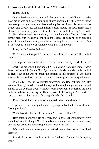They walked into the kitchen, and Charlie was impressed all over again by how big it was and how beautifully it was appointed, with acres of stone countertops and gleaming stainless steel appliances. A smallish woman was bent over, a silver crucifix dangling from a chain around her neck. She placed a china bowl on a fancy place mat on the floor in front of the biggest poodle Charlie had ever seen. As she stood, she turned and shot Charlie a look that almost made him wish he was the one on that cross. The dog raised its head and gave him a similar scornful glance before turning back to its meal. *What is it with everyone in this house? Even the dog's in a bad mood!*

"Rosa, this is Charles Perkins."

"Oh," Charlie interrupted, "I meant to say before, it's Charlie." He reached out to shake.

Rosa kept her hands at her sides. "It's a pleasure to meet you, Mr. Perkins."

Charlie let his arm fall, and smiled. "The pleasure is entirely mine, Rosa," he said with a wink. *Oh, my God! I just winked!* He tried a wider smile. He had to figure out some way to break the tension in this household. She didn't react—at all—just turned around and started working on something in the sink.

He looked at Roger with a puzzled expression, and Roger shrugged. "Let's go meet Simon," he said. He led the way back through the gallery and tapped lightly on the bedroom door. When there was no response, he turned the knob and cracked it open, peeking in. "Hmm. Looks like he's nappin'." He started to open the door farther, but Charlie caught him by the shoulder.

"Don't disturb him. I can introduce myself when he wakes up."

Roger closed the door quietly, and they stepped back into the workroom. "Any questions?"

"Yeah, how do I know if he needs me? Is there a call bell?"

"He's gotta smartphone. He calls this one," Roger said handing it over. "We trade it off at shift change. Oh! His meds are set up on the counter over there, and the eye drops are in the fridge under. Okay? I'm out."

"Wait a minute, you were going to refresh me on how to run that blood sample."

"Right!" Roger smacked himself in the forehead. "Let's make this quick, man."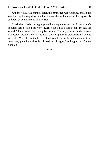And they did. Five minutes later, the centrifuge was whirring, and Roger was hulking his way down the hall toward the back elevator, the bag on his shoulder swaying in time to his stride.

Charlie had tried to get a glimpse of his sleeping patient, but Roger's beefy shoulder had blocked the view. Even if he'd had a good look, though, he wouldn't have been able to recognize the man. The only pictures he'd ever seen had been in the liner notes of his mom's old original cast albums from when he was little. While he waited for the blood sample to finish, he took a seat at the computer, pulled up Google, clicked on "Images," and typed in "Simon Sonntag."

\*\*\*\*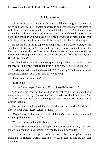#### **Act I, Scene 4**

<span id="page-34-0"></span>It was getting close to noon and the phone still hadn't rung. He'd peeped in twice, and each time Mr. Sonntag appeared to be sleeping soundly. He hated to wake him, but there was a medication scheduled for twelve o'clock and it was to be taken with food. Rosa had informed him that lunch would be served at noon. The precision with which she'd clipped her words had made it clear that if he thought she might mean either 11:59 or 12:01, he'd better think again.

He put the pill in a little paper cup and placed it, and a cup of water, on the small pink plastic tray he'd found in the med area. He carried the tray silently into the room next door and paused, cocking his head to one side to study the face of his dozing patient. There was no doubt about it. *You are looking at a Broadway legend!*

He found a dresser with some free space on top, and just as he was setting the tray down, a raspy voice called from behind him, "Hello, young man."

Charlie whirled around at the sound. "Mr. Sonntag!" He drew a flustered breath and then spit out, "I'm-sorry-if-I-woke-you!"

"First name, or last name?"

"Excuse me?"

"Sorry-if-I-woke-you. You said, 'I'm… Sorry-if-I-woke-you.'"

A grin of relief rose on Charlie's lips as he realized his new patient had a sense of humor. *Even if it is a cornball one.* "Maybe we should start over," he said, crossing the room and extending his hand. "Hello, Mr. Sonntag, I'm Charlie Perkins."

The man sat up and smiled, looking Charlie over as they shook. "Good to meet you, Charlie. Please, call me Simon."

"Okay, Simon." Charlie smiled back. "I think it's about time for lunch, and I have a pill you need to take first."

"Yes, yes, bring on the pill," Simon intoned.

After he'd swallowed it with no apparent difficulty, Charlie said, "That was quite a nap you had this morning. Are you feeling all right today?"

"Oh, yes. I don't take naps as a rule, or sleep in, but I was up late reading last night. You needn't worry, I feel fine—well… as close to fine as I ever feel these days."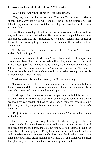"Okay, good. And you'll let me know if that changes?"

"Yes, yes, you'll be the first to know. Trust me, I'm not one to suffer in silence. Now, why don't you run along so I can get some clothes on. Rosa tolerates pajamas at the breakfast table, but if I go out there like this for lunch I'll hear about it."

Since Simon was allegedly able to dress without assistance, Charlie took his tray and closed the door behind him. He smiled as he crumpled the used cups and dropped them into the wastebasket. A few minutes later, Simon paused at the workroom doorway to give him a nod and a smile. He turned toward the dining room.

"Mr. Sonntag—*Oops!—*Simon," Charlie called. "You don't have your walker. Did you forget?"

Simon turned around. Charlie wasn't sure what to make of the expression on the man's face. "Let's get this sorted out first thing, young man. I don't need it. I can walk just fine. I've never fallen down, and I've never come close to falling down. The doctor said it was an 'optional precaution,' but Nate insists. So when Nate is here I use it. Otherwise it stays parked"—he pointed at his bedroom door—"right in there."

Charlie opened his mouth to protest, but Simon kept going.

"I know it's your job to remind me, and now you've done your job. I also know I have the right to refuse any treatment or therapy, so can we just let it go?" The corners of Simon's mouth turned up in a wry grin.

Charlie appreciated Simon's no-nonsense approach, and he felt he needed to be direct in return. "We can go on with me reminding, and you refusing, but if I see any signs you need it, I'll have to insist, too. Keeping you safe is also my job. In any case, if your grandson asks me about it, I'll have to tell him what's going on."

"I'll just make sure he has no reason to ask, then." And with that, Simon walked away.

The rest of the day was boring. Charlie filled the time by going through Simon's medical chart on the computer as well as the paper version. He cleaned and organized the med area, and as a last resort, started reading through the manuals for the lab equipment. Every hour or so, he stepped into the hallway and tapped on Simon's door, sticking his head in to check on his patient. Each time, he found Simon either reading or watching TV, and Simon would greet him pleasantly and assure him there was nothing he needed.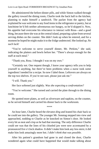He administered the before-dinner pills, and while Simon walked through the gallery toward the dining room, Charlie took the back hall to the kitchen, planning to make himself a sandwich. The packet from the agency had explained he was welcome to any food items in the refrigerator or pantry, but at lunchtime he'd felt neither adventurous nor hungry, so he'd skipped it. Now, his appetite had overcome his reluctance to interact with Rosa—and a good thing, because there she was at the central island, preparing a plate from several serving dishes on the counter. She didn't look up when he entered, and for a moment he hoped he might make it to the fridge undetected. She looked up. *No such luck!*

"You're welcome to serve yourself dinner, Mr. Perkins," she said, indicating the platters and bowls before her. "There's always enough for the staff at each meal."

"Thank you, Rosa. I thought I was on my own."

"Certainly not. One request though, I know your agency tells you to help yourself to anything, but there've been problems when a nurse took some ingredient I needed for a recipe. So now I label those. Leftovers are always on the top two shelves. If you're not sure, please just ask me."

"I will. Thank you."

Her face softened just slightly. *Was she expecting a confrontation?*

"You're welcome." She turned and carried the plate through to the dining room.

He spotted more plates, as well as silverware and napkins, on the counter, so he served himself and carried his dinner back to the workroom.

\*\*\*\*

An hour later, Charlie heard the elevator *ding* and leaned his chair back so he could see into the gallery. The younger Mr. Sonntag stepped into view and approached, nodding to Charlie as he knocked on Simon's door. He looked every bit as neat and crisp as he had that morning. The only difference Charlie could see was that the lines of his chiseled jaw were now accentuated by a pronounced five o'clock shadow. It didn't make him look any less stern; it did make him look amazingly more hot. *I didn't think that was possible.*

After his patient's grandson had gone in and closed the door, Charlie wondered again what could have happened that would make talking about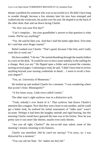theater a problem for someone who was so successful at it. He didn't have long to wonder though, because a few minutes later his new boss emerged and walked into the workroom, his jacket over his arm. He draped it on the back of the other desk chair and sat down facing Charlie.

"So, how was your first day?"

"Can't complain… but your grandfather's answer to that question is what counts. Did he say anything?"

"Yes. He said he likes you. And that's half the battle right there. First time he's said that since Roger started."

Relief washed over Charlie. "That's good, because I like him, and I really want this to work out."

His boss nodded. "I do too." He started thumbing through the manila folders in a rack on the desk. "It would be nice to have some stability in the staffing for a change. Here you are." He flipped open a folder and scanned the contents, turning several pages. Continuing to read, he said, "I didn't have time to review anything beyond your nursing credentials in detail… I seem to recall a fouryear degree?"

"Yes, sir. University of Minnesota."

He looked up and studied Charlie for a moment. "I was wondering where that accent's from. Minneapolis?"

"A few hours away. Little town called Cortela."

The older man's right eyebrow rose in a distinctive arch.

"Yeah, nobody's ever heard of it." That eyebrow had drawn Charlie's attention like a magnet. Now that they were closer to one another, and he could get a better look, he realized his initial assessment of "older man" wasn't accurate. Perhaps it had been the haughty attitude and rigid bearing, but this morning Charlie would have guessed the man was in his forties. Now he was pretty sure it was more like thirties, maybe even early thirties.

"Are you all right, Charles?" the not-so-old man asked, some of this morning's tension returning to his features.

Charlie was mortified. *Did he catch me staring?* "I'm sorry, sir. I was distracted for a moment."

"You can call me Nate. 'Sir' makes me feel old."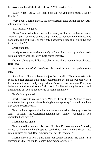"Okay. Nate. And…" He took a breath. "If you don't mind, I go by Charlie."

"Very good, Charlie. Now… did any questions arise during the day? Any information you need?"

"No. I think I've got it."

"Great." Nate nodded and then looked evenly at Charlie for a few moments. "Before I go, I remembered one thing I failed to mention this morning. The door at the end of the hall, on the right? That stays locked at all times. No one in or out. Clear?"

Charlie nodded.

"And just to reinforce what I already told you, don't bring up anything to do with our family or the theater." Nate stared intently.

The man's level gaze drilled into Charlie, and after a moment he swallowed. Hard. *Jeez!*

Nate's stare intensified. "You look… bothered. Do you have a problem with this?"

"I wouldn't call it a problem, it's just that… well…" He was worried this could be a deal-breaker, but he knew better than to try and hide who he was. "I love musical theater—and your grandfather's work—so it's a shame I'm gonna be here all the time and we can't discuss it. It's like winning the lottery, and then finding out you're not allowed to spend the money."

Nate's face tightened.

Charlie hurried to reassure him. "No, no! I can do this. As long as your grandfather is my patient, his well-being is my top priority. I won't do anything that could jeopardize that."

Nate continued eyeing him, his face unreadable. After a lengthy pause, he said, "All right," his expression relaxing just slightly. "As long as you understand and agree."

Charlie nodded again.

Nate slapped his hands on his knees. "It's late. I'm heading home," he said, rising. "Call me if anything happens. I can be back here in under an hour—less when traffic's not bad. Roger showed you how to reach me?"

Charlie started to nod a third time, but caught himself. "He didn't. I'm guessing it's that red binder labeled Emergency Contacts?"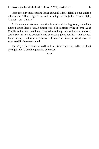Nate gave him that assessing look again, and Charlie felt like a bug under a microscope. "That's right," he said, slipping on his jacket. "Good night, Charles—um, Charlie."

In the moment between correcting himself and turning to go, something flashed across Nate's face. It almost looked like a smile trying to form. *As if!* Charlie took a deep breath and frowned, watching Nate walk away. It was so sad to see a man who obviously had everything going for him—intelligence, looks, money—but who seemed to be troubled in some profound way. He wondered if Nate ever smiled.

The *ding* of the elevator stirred him from his brief reverie, and he set about getting Simon's bedtime pills and eye drops.

\*\*\*\*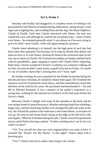## **Act I, Scene 5**

Saturday and Sunday had dragged by in countless hours of nothing to do punctuated by brief flurries of administering medications, taking Simon's vital signs and weighing him, and avoiding Rosa and the dog: *His Royal Highness, Claude of Poodle.* Each time Charlie interacted with Simon, the man was cordial but cool, and although he cracked the occasional joke—some of them even funny—he remained generally aloof. It was almost as if he were trying to prove he didn't need Charlie, while still appreciating his presence.

Charlie hated admitting it to himself, but the high point of each day had been when Nate appeared. On Saturday, he'd come by shortly after dinner and spent an hour or so with Simon, sticking his head in the workroom door on his way out to check on Charlie. He'd returned at midday on Sunday and had lunch with his grandfather, again stopping to speak with Charlie before departing. Both times, Charlie wondered if Simon's cordiality was somehow rubbing off on Nate, because he didn't seem nearly as gruff as he had on Friday. *Or maybe it's my irresistible charm that's winning him over? Yeah, right!*

By Sunday evening, he was so grateful for the Kindle his parents had given him the previous Christmas, he emailed to thank them again. He'd finished the romance novel he'd started the week before, and then remembered a book that had been on his wish list for years. He purchased and downloaded it—*Ira and Me* by Michael Feinstein. It was a memoir of the author's experience as a young man, working for the eminent Ira Gershwin in the final years before the lyricist's death.

Between Charlie's delight with some of the episodes in the book and his own unique brand of natural buoyancy, Monday morning found him whistling a happy tune, and then humming another as he arranged the pills and water on his tray. He'd heard his patient in the bathroom a short time before, so he knew he was up. He went in and found Simon sitting on the edge of the bed in his robe and slippers. When he'd finished taking the pills, Charlie voiced the question he always asked before leaving a patient: "Is there anything else I can do for you while I'm here?"

"Yes. You can tell me what you were singing before you came in here. It sounded like 'Waitin' For My Dearie.' Is that right?" Simon asked with a knowing grin.

"Yes?" Charlie tried not to admit, heat rising to his cheeks.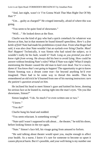"And, last night, wasn't it 'I'm Gonna Wash That Man Right Out Of My Hair'?"

"Um… guilty as charged?" He cringed internally, afraid of where this was going.

"You seem to be quite fond of showtunes."

"Well…" He looked down at the floor.

Charlie was the kind of guy who had a quick comeback for whatever was thrown at him, but in that moment he found himself speechless. *Here's a fine kettle of fish!* Nate had made his prohibition crystal clear. From what Roger had said, it was also clear Nate wouldn't bat an eyelash over firing Charlie. *Must! Not! Happen!* Technically, it was Simon who had raised the subject, so it wouldn't really be his fault, would it? *Yeah. Long as you pretend you don't know right from wrong.* He always did his best to avoid lying. How could he answer without breaking Nate's rules? What if Nate was right? What if simply mentioning the theater caused the old man to keel over dead. *You're a nurse, damn it! You know that's not going to happen!* The opportunity to get to know Simon Sonntag was a dream come true—far beyond anything he'd ever imagined. There had to be some way to thread this needle. Then he remembered an old trick he'd learned from one of his nursing instructors: *turn the patient's question around on him.*

He inclined his head to meet Simon's gaze and knitted his brow, donning his serious face as he leaned in, staring right into the man's eyes. "Do you like showtunes, Simon?"

Simon laughed. "I do. So much I've even written one or two."

"I know."

"You do?"

Charlie hung his head and nodded.

"You seem reluctant. Is something wrong?"

"Nate said I wasn't supposed to talk about… the theater," he told his shoes, before looking Simon in the eye again.

"Nate." Simon's face fell, his visage going from amused to forlorn.

"He said talking about theater would upset you, maybe enough to affect your health. As a nurse, I know it's rare for someone to become so upset it causes physical harm. But it's possible, and your well-being is my number one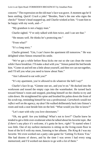concern." The expression on the old man's face was grave. A moment ago he'd been smiling. *Quick! Crack a joke!* "Besides, Nate's the one who signs the checks!" Simon's head snapped up, and Charlie winked at him. "I want him to be happy with my work, and—"

"My grandson is not a happy man."

Charlie sighed. "I've only talked with him twice, and I can see that."

"He means well. He thinks he's protecting me."

"From what?"

"It's a long story."

Charlie grinned. "Um, I can't leave the apartment till tomorrow." He was delighted when Simon returned his smile.

"We've got a while before Rosa kicks me out so she can clean the room while I have breakfast. I'll make a deal with you." Simon patted the bed beside him. "Come sit and tell me a little about yourself, and then we can eat together, and I'll tell you what you need to know about Nate."

"Am I allowed to eat with you?"

"It's my apartment, you're allowed to do whatever the hell I say!"

Charlie's face lit up. "Gimme one sec, and you're on." He ducked into the workroom and tossed the empty cups into the wastebasket. He turned back toward Simon's room and stopped, pinching himself on the cheeks to try and calm down. He straightened his spine and brushed his palms down the front of his scrub top, reminding himself he was a professional. *Cartwheels would not reflect well on the agency, my dear!* He walked deliberately back into Simon's room and took a seat beside him on the bed. "What would you like to know?"

"Let's start with why you love showtunes."

"Oh, my gosh! Are you kidding? What's not to love?" Charlie knew he tended to get a little over-exuberant when he talked about his favorite topic. *But if there's any place it's welcome, it's gotta be here, right?* "It started when I was little. One of my earliest memories is sitting on the living-room floor in front of the hi-fi with my mom, listening to her albums. *The King & I* was my favorite. We even worked out a patty cake game for 'Getting To Know You.' She had dozens of shows, and by the time I was seven I had every song memorized, and I'd worked out dances to go with a lot of them."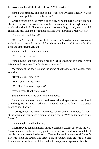Simon was smiling, and one of his eyebrows wriggled slightly. "Your parents encouraged this… erm, behavior?"

Charlie tipped his head from side to side. "I'm not sure how my dad felt about it, but my mom, yeah, she was the Drama teacher at the high school that's why she had all those original cast recordings—and, yes, she did encourage me. Told me I was talented. Said I was her little Broadway star."

"So, you sing and dance?"

"Oh, God! It's what I live for! I take lessons in Brooklyn, and in two weeks we're having a recital. I'm in all four dance numbers, and I get a solo. I'm gonna to sing 'Being Alive'!"

Simon scowled. "Not one of mine."

"Well, no, sir, but I—"

Simon's dour look turned into a big grin as he patted Charlie's knee. "Don't take me seriously, son. That's always a mistake."

Movement at the doorway, and the sound of a throat clearing, caught their attention.

"Breakfast is served, sir."

"We'll be in shortly, Rosa."

"Oh. Shall I set an extra place?"

"Yes, please. Thank you, Rosa."

She glanced at Charlie before walking away.

Simon stood and went over to the dresser, where he put on a wristwatch and a gold ring. He turned to Charlie and motioned toward the door. "We'd better be going in, Charlie."

Charlie grinned, the *King & I* reference not lost on him. He bowed formally at the waist and then made a similar gesture. "Yes. We'd better be going in, Simon."

Simon laughed and led the way.

Charlie stayed behind him and a little to one side, closely observing the way Simon walked. By the time they got to the dining room and were seated, he'd decided he concurred with the doctor. That walker really was optional. Simon's gait was stable and strong, like that of a much younger man. He was also able to stand and sit without hesitation and with no apparent signs of difficulty.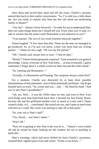Once Rosa had served their meal and left the room, Charlie's curiosity steered him back to their earlier conversation. "So, I've told you a little about me. Are you ready to explain why Nate has this rule about not mentioning family or theater?"

"Yes, but"—Simon's brow furrowed—"in order for you to understand Nate, there are some things about me I should tell you. From what you've said, it's safe to assume that the name Lester Braunstein is not unknown to you?"

"Your partner. The two of you wrote fourteen musicals together."

Simon laughed. "A few more than that. Those are the ones we managed to get produced. So, as I'm sure you know, Lester was more than my writing partner…" Simon let out a sigh. "He was my life partner."

"Oh," Charlie said, unsure how to react. "I had no idea."

"Really?" Simon looked genuinely surprised. "I just assumed it was general knowledge. I mean, everyone in New York knew… at least eventually. I guess sometimes I forget there's a whole world out there beyond this little island."

"So, Sonntag and Braunstein—"

"Actually, it's Braunstein and Sonntag. The composer always comes first!"

For a moment, Charlie was distracted by at least three possible interpretations of that statement—one of them potentially profound—but he got himself back on track. "So, Lester and you... and..." He tilted his head. "And you're also Nate's grandfather?"

"Ah, yes. Well… it was the 1950s when we met, and even in New York such things were kept hush-hush back then. I married my best friend, Diane, because she and her girlfriend needed cover as much as Lester and I. Diane wanted a baby, so I… contributed. She raised our son, and I spent as much time with him as I could. My career was starting to take off at that point."

"So, your son is Nate's dad?"

"Yes, David… was Nate's father."

"Was? Oh"

"Now we're getting to why Nate is the way he is…" Simon's voice trailed off and he turned his head, looking out the window but not at anything in particular.

Nate's warnings, which had never drifted far from Charlie's awareness, resumed their rightful place front and center. "If this is too much—"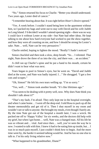"No." Simon returned his focus to Charlie. "Better you should understand. Two years ago, Lester died of cancer."

"I remember hearing about that. It was right before *Heart's Desire* opened."

"Yes. A week before. I couldn't stand being here in the apartment without him, so I packed my bags and went out to stay with David and his wife Judith on Long Island. I'd decided I wouldn't attend opening night—there was no way I could face it without Lester at my side—but Nate had other ideas. He kept talking to me about how hard everyone had worked to put the show together, and how they were all counting on me, and how I should be strong for Lester's sake. Nate… well, Nate can be very persuasive."

Charlie smiled, hoping to lighten the mood. "Really? I hadn't noticed."

Simon chuckled and then took a slow, deep breath. "So… I relented. That night, Nate drove the three of us into the city, and there was… an accident."

A chill ran up Charlie's spine and he put a hand to his mouth, certain he didn't want to hear what was next.

Tears began to pool in Simon's eyes, but he went on. "David and Judith died at the scene, and Nate was badly injured. I…" He shrugged. "I got a few cuts and scrapes."

"Oh, Simon!" He felt his own tears welling up. "I'm so sorry."

"Yes, well…" Simon took another breath. "It's like lifetimes ago."

"You seem to be dealing with it pretty well, now. Why does Nate think you shouldn't talk about it?"

"That's my fault, I'm afraid. They only kept me in the hospital overnight, and when I came home… I went off the deep end. I told Rosa to pack up all the theater memorabilia and get rid of it. Then I shut myself in my room and wouldn't see or talk to anyone. She brought my meals, even though I barely ate. By the time Nate got out of the hospital a month later, I was a wreck. He packed me off to 'Happy Valley' for six weeks, and the doctors did help with my grief, but when I got home… well, Nate was a changed man. All his life he was so vibrant and… vital. And since then… well, you've seen the way he is now. I wanted to talk with him. I knew it had to be eating him up inside, but… I was in so much pain myself, I just couldn't think how to begin. And the more time went by, the harder it seemed talking would be. And he has no one else to talk to. I'm his only living relative now."

"What happened to his grandmother, Diane?"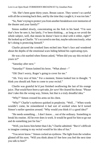"Ah. She's been gone thirty years. Breast cancer. They weren't so careful with all the screening back then, and by the time they caught it, it was too late."

"So, Nate's trying to protect you from another breakdown over memories of the theater and your family?"

Simon nodded slowly, concentrating on the fork in his hand. "I'm sure that's how he sees it, but lately, I've been thinking… as long as we avoid the whole subject, well, that means he doesn't have to deal with it either, right?" He looked up at Charlie. "It's occurred to me that, maybe subconsciously, what he's doing is protecting himself."

Charlie pictured the crooked lines etched into Nate's face and wondered about the depths of the emotional scars hiding behind his captivating eyes.

He was a bit startled when Simon asked, "When did you say this recital of yours is?"

"Saturday after next."

"Saturday?" Simon knitted his brow. "What about—"

"Oh! Don't worry, Roger's going to cover for me."

"Ah. Very nice of him." For a moment, Simon looked lost in thought. "I think you should ask Nate to come to your recital."

Charlie was grateful he'd just finished swallowing the last of his orange juice. *That would have been a spit take, for sure!* He cleared his throat. "Please don't take this the wrong way, Simon, but that is a truly dreadful idea."

"Why?" Simon crossed his arms on his chest.

"Why?" Charlie's eyebrows quirked in perplexity. "Well…" When words wouldn't come, he remembered it had sort of worked when he'd turned Simon's earlier question around. "Why would you think it's a good idea?"

"He needs something… I don't know… out of the ordinary. Something to break his routine. All he ever does is work. It would be good for him to go out and do something just for fun."

"Well, you know him better than I do," Charlie admitted. "But it's difficult to imagine coming to my recital would be his idea of fun."

"You never know." Simon cocked an eyebrow. The light from the window glinted off his eyes. "Will you think about it? See how you feel the next time you talk to him?"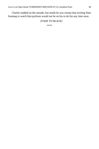Charlie nodded on the outside, but inside he was certain that inviting Nate Sonntag to watch him perform would not be on his to do list any time soon.

*[FADE TO BLACK]*

\*\*\*\*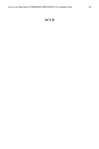# **ACT II**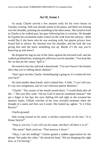# **Act II, Scene 1**

As usual, Charlie arrived a few minutes early for his voice lesson on Tuesday evening. Seth was already seated at the piano, and Barb was leaning over his shoulder, pointing out something in the sheet music. She turned to look at Charlie as he walked past, her gaze following him in curiosity. He thought he'd gotten his excitement under control on the walk from the subway—Barb would flip if she knew who he was working with, but patient privacy laws bound him to silence. He checked over his shoulder, and the look she was giving him said she knew something was up. *Maybe it's the way you're bouncing up and down?*

He dropped his bag on one of the chairs against the mirrored wall, and she walked up behind him, studying his reflection over his shoulder. "You look like the cat that ate the canary. Spill it."

He turned to face her and took a deep breath. "I'm sure I haven't the faintest idea what you're talking about, Barbara."

"Don't give me that, Charlie. Something big's going on. It's written all over your face!"

He tried another deep breath, and it calmed him. A little. "I can't tell you. It's my new assignment, and we can't disclose patient identities."

"Charlie." The corners of her mouth turned down. "I would think after all the—" Her eyes flew wide. "Oh my God! It must be somebody famous!" She put a finger to her lips, her eyes shifting left and right as she scanned her memory banks. Telltale twitches of her nose revealed moments when she thought of a name and then cast it aside. She looked up, aghast. "Is it Chita Rivera?"

Charlie groaned.

Seth swung around on his stool, a stricken expression on his face. "Is it Elaine Stritch?"

"Stop it, you two. I can't tell you his name, and that's all there is to it!"

"His name!" Barb cried out. "That narrows it down."

"Okay, I am not kidding!" Charlie gained a sudden appreciation for the phrase "hot under the collar." He shook his head. "We are dropping this right now, or I'm leaving."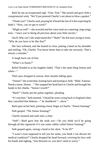Barb let out an exasperated sigh. "Fine. Fine." She turned and gave Seth a conspiratorial wink. "We'll just pretend Charlie's not about to blow a gasket."

"Thank you!" Charlie said, praying he'd heard the last of it but expecting he hadn't. "Now, can we get to work?"

"Might as well"—she scowled and her voice took on a sneering, sing-songy tone—"since you're being all precious about your little secrets."

*Ouch! Why can't she understand this?* "Barb!" He felt tears trying to form. "Why do you have to be like that?"

Her face softened, and she leaned in close, putting a hand on his shoulder and smiling. "Oh, Charlie. You know better than to take me seriously. That's always a mistake."

A laugh burst out of him.

"What's so funny?"

Relief flooded in as his laughter faded. "That's the same thing Simon said when—"

Their jaws dropped in unison, their mouths falling open.

"Simon!" she screeched, leaning back and turning to Seth. "Male. Famous. Needs a nurse. Simon…" She snapped her head back to Charlie and brought her hands to her cheeks. "Simon Cowell?"

"Barb!" Charlie put his palms together, pleading.

"It's not him," Seth insisted. "I heard he went crying back to England when they cancelled that hideous—" he shuddered "—show."

Barb spun on her heel, pointing a bony finger at Charlie. "Simon Sonntag!"

Seth gasped. "*The* Simon Sonntag?"

Charlie moaned and sank onto a chair.

"Seth"—Barb gave him the stink eye—"do you think we'd be going through all this rigmarole if it was some cabbie called Simon Sonntag?"

Seth gasped again, raising a hand to his chest. "Is he ill?"

"I wasn't even supposed to tell you his name, you think I can discuss his medical condition?" Charlie dropped his head forward, covering his face with his hands and sighing. "Just between us, you don't need to worry."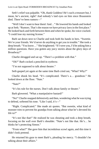Seth's relief was palpable. "Oh, thank Goddess! He's such a treasure but, I mean, he's ancient, right? And nobody's laid eyes on him since Braunstein died. There've been rumors—"

"Well I don't want to hear them! And…" He lowered his hands and looked up at Seth. "Rumors. That's the reason we have privacy laws in the first place." He looked back and forth between them and when he spoke, his voice cracked. "I could lose my nursing license."

Barb sat down next to Charlie and took both his hands in hers. "Sweetie. We're your friends. We'd never do anything to get you in trouble." She took a deep breath. "You know…" She brightened. "If I were you, I'd be asking him a million questions. Have you gotten any juicy stories about the glory days of Broadway?"

Charlie shrugged and sat up. "There's a problem with that."

"Oh?" Barb cocked a penciled-in eyebrow.

"I'm not supposed to talk about theater."

Seth gasped yet again at the same time Barb cried out, "What? Why?"

Charlie shook his head. "It's complicated. There's a… grandson." He looked down at the floor. "Nate."

"Nate?"

"It's his rule for the nurses. Don't talk about family or theater."

Barb glowered. "What a manipulative bastard!"

"No!" Charlie snapped defensively and then, wondering what he was trying to defend, softened his tone. "Like I said, it's—"

"Right. Complicated." She made air quotes. "But sweetie, what kind of monster tries to prevent his grandpa from talking about what he's devoted his life to?"

"It's not like that!" He realized he was shouting and took a deep breath, focusing on the wall over Barb's shoulder. "Nate's not like that. He's… he thinks he's protecting Simon."

"From what?" She gave him that incredulous scowl again, and this time it didn't look pretend.

He returned his gaze to meet Barb's, pleading for mercy. "I shouldn't be talking about their affairs."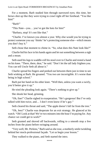For a moment, Barb studied him through narrowed eyes; this time, her brows shot up like they were trying to crawl right off her forehead. "You like him!"

"Barb!"

"This Nate—you… you've got the hots for him!"

"Barbara, stop! It's not like that."

"Charlie. I've known you almost a year. Why else would you be trying to protect someone you say 'thinks' he's protecting someone else—which means you don't buy it."

Seth chose that moment to chime in. "So, what does this Nate look like?"

Charlie hid his face in his hands again and let out something between a sigh and a moan.

Seth used his legs to waddle-roll his stool over to Charlie and rested a hand on his knee. "There, there, dear," he said. "Don't let the tall lady frighten you. You can tell Uncle Seth all about it."

Charlie spread his fingers and peeked out between them just in time to see Seth winking at Barb. He groaned. "You two are incorrigible. It's worse than being in high school."

Barb put her hand on his other knee. "Well then, unless you want a swirly, you'd better give it up."

He tried the pleading look again. "There's nothing to give up."

She shook her head, grinning.

"Oh, fine!" Charlie sighed in exasperation. "He's gorgeous! But I've only talked with him twice, and… I don't even know if he's gay."

Seth cleared his throat and said, "The apple doesn't fall far from the tree."

"Oh, Jeez!" Charlie was desperate for an exit strategy. He glanced at his watch. "Oh! Look at that! We're two minutes into the hour I'm paying for. Any chance we could get to work?"

Seth grunted and shoved off backwards, rolling to a smooth stop a few inches from the piano before swinging around.

"Very well, Mr. Perkins," Barb said as she rose, a motherly smile twinkling behind her mock-professional façade. "Let us begin your lesson."

They walked to the piano, and Seth started the intro.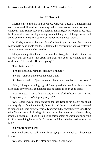## **Act II, Scene 2**

Charlie's three days off had flown by, what with Tuesday's embarrassing voice lesson—followed by a soothing and pleasant conversation over coffee with Joel—and a dance rehearsal Thursday that had gone very well. In between, he'd spent all of Wednesday running around taking care of things that needed doing before his next four-day sequestration from the real world.

On Friday morning, he was pleased when Roger reported their patient continued to be in stable health. He fell into his easy routine of mostly staying out of the way, except when needed.

Friday evening, after dinner, Nate came for his regular visit with Simon. On his way out, instead of his usual nod from the door, he walked into the workroom. "Hi, Charlie. How's it going?"

"Fine, Nate. You?"

"I'm good, thanks. Mind if I sit down a minute?"

"Please." Charlie pulled out the other chair.

"It's been a week, so I just wanted to check in and see how you're doing."

"Well, I'd say everything's good. Your grandpa's condition is stable, he hasn't had any physical complaints, and he seems to be in good spirits."

Nate hesitated. "Yes… that's great, and I'm glad to hear it, but… I was asking about you. How's it going for you?"

"Oh." Charlie wasn't quite prepared for that. Despite his misgivings about the uniquely dysfunctional family dynamic, and the air of tension that seemed to lurk around every corner of this old apartment, the opportunity to spend time with Simon was still blowing his mind. And then there was Nate—a dark, inscrutable puzzle. He hadn't realized till this moment he was intent on solving it. "I've been doing home health for a year, and this is the best assignment I've had."

"So, you're happy here?"

*How much does he really know about happy?* "Very much so. I hope I get to stay."

"Oh, yes. Simon's made it clear he's pleased with you."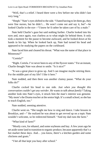"Well, that's a relief. I heard there were a few before me who didn't last very long."

"Hmph." Nate's eyes shifted to the side. "I hated having to let them go, they were fine nurses, but he didn't… He won't come out and say it, but"—he looked Charlie in the eye—"I know he'd rather be taken care of by a male."

Nate held Charlie's gaze but said nothing further. Charlie looked into his eyes and, once again, was clueless as to what might lie behind them. It only took a moment for the pause to become awkward, and he looked down at his hands in his lap. When he looked back up, Nate had turned his head and appeared to be studying the papers on the corkboard.

Nate faced him and cleared his throat. "What was the name of that place in Minnesota?"

"Cortela?"

"Right. Cortela. I've never been to any of the flyover states." For an instant, Charlie thought Nate was about to smile. "Is it nice?"

"It was a great place to grow up. And I can imagine maybe retiring there. For the middle part of my life? I like it here."

Nate nodded, and then there was another clumsy pause. "What do your folks do?"

Charlie cocked his head to one side. *Just when you thought this conversation couldn't get any weirder. He* wants *to talk about family?* Taking another look into Nate's eyes, it struck him the man's interest was genuine. "My mom's the Drama teacher at the senior high. It's a small school, so she has to teach English, too."

Nate nodded, seeming attentive.

Charlie went on. "She taught me how to sing and dance. I take lessons in Brooklyn, and—" He realized he was about to get revved up on a topic Nate wouldn't welcome, so he redirected himself. "And my dad runs the farm."

"What kind of farm?"

"Mostly corn, for ethanol, and some soybeans and hay. A few years ago he set aside some land to transition to organic produce, because apparently that's a hot market these days. And… you know, there's a kitchen garden and some chickens and goats."

"I bet all that kept you busy after school."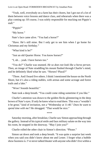"Yeah, well, everybody on a farm has their chores, but I got out of a lot of them between voice lessons and dance class, and rehearsals when there was a play coming up. Of course, I was solely responsible for mucking out Pippin's stall."

"Pippin?"

"My horse."

Nate's face came alive. "You had a horse?"

"Have. He's still mine. But I only get to see him when I go home for Christmas and my birthday."

"What kind is he?"

"Just an old Quarter Horse. You know horses?"

"I, uh… yeah. I have horses too."

"You do?" Charlie was stunned. *He so does not look like a horse person.* Then, an image of Nate straddling his mount flashed through Charlie's mind, and he definitely liked what he saw. "Horses? Plural?"

"Three. And I board five others. I think I mentioned the house on the North Shore, but it's also a riding stables, with arenas and some acreage and forest trails and a lake."

"Wow! Sounds beautiful."

Nate took a deep breath. "You could come riding sometime if you like."

Charlie's attention was drawn to the golden flecks glimmering in the deep brown of Nate's eyes. If only he knew what to read there. This was a "wouldn't it be great," kind of invitation, not a "Wednesday at 11:40." *Does he want to spend time with me?* He shrugged. "That would be nice."

\*\*\*\*

Saturday morning, after breakfast, Charlie saw Simon approaching through the gallery. Instead of his typical smile and faux military salute on the way into his room, he stopped in the doorway. "May I join you?"

Charlie rolled the other chair in Simon's direction. "Please."

Simon sat down and took a deep breath. "It was quite a surprise last week when you said you didn't know about me and Lester. I forget what a bubble show business is. I've never talked theater with anyone who didn't live within a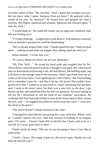two-mile radius of here." He chuckled. "Well, I guess that includes you now, but you know what I mean. Someone from out there?" He gestured with a sweep of his arm. "In America?" He leaned back and grasped the chair's armrests. His fingers squeezed and released. Squeezed and released again. "I miss my work."

"I would think so." He could tell Simon was on edge and wondered what this was leading up to.

"I've been thinking… it might help to talk about it. And talking to someone with an outsider's perspective could be illuminating."

"We've already broken Nate's rule." Charlie pursed his lips. "And you must know… nothing would make me happier than talking musicals with you."

Simon beamed. "I'd like that a lot."

"It's such a shame you threw out all your mementos."

"Oh. That. Well…" He turned his head aside and coughed into his fist. "Rosa did as I said and packed it all up. I thought it was gone. But I discovered later on that instead of throwing it out, she had Barney, the building super, lug it all down to the storage room in the basement. When I got home from my six weeks at the funny farm, I was regretting how rash I'd been—that I had nothing left to remember Lester by—and then it hit me. His piano! She couldn't have gotten rid of that. I wanted to sit and touch it—touch something that had been ours. I went to the music room, but there was a new lock on the door. I got Barney up here and asked him what the hell was going on. He wasn't going to tell me till I threatened to call the head of the residents' association. He confessed that Nate had ordered him to haul all the boxes back in there, install the lock, and—" he waggled his eyebrows and lowered his voice "—and carry the secret to his grave."

"The Secret Room!" Charlie bounced in his chair.

"I managed to cajole Barney into giving me a copy of the key. When I went in, I couldn't believe my eyes. Nate had restored everything to its original place. Of course… I haven't been able to tell him that I know, and as far as I can tell, he's never gone back in there."

Charlie shook his head. "The two of you are going to have to face this at some point."

"I know. I know. The longer it goes on, the worse it gets. Maybe you can help me find the way?"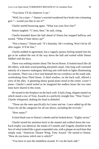"You know I'll do whatever I can."

"Well, for a start—" Simon's worried weathered face broke into a beaming grin "—would you like to see it?"

Charlie started bouncing again. "What was your first clue?"

Simon laughed. "C'mon, then," he said, rising.

Charlie bounded down the hall ahead of Simon but stopped halfway and turned. "What if Nate shows up?"

"Not a chance," Simon said. "It's Saturday. He's working. Won't be by till after supper. It'll be fine."

Charlie nodded in agreement, but a vaguely queasy feeling seeped into his gut as he walked the rest of the way down the hall and waited while Simon fiddled with the keys.

There was nothing sinister about The Secret Room. It looked much like all the others, with dark wood paneling and plush carpet. One long wall consisted entirely of a massive mahogany shelving unit with built-in lights illuminating its contents. There was a love seat beneath the two windows on the south side, overlooking Sixty-Third Street. A third window, on the back wall, offered a view of the alley. A gleaming ebony grand piano stood in the center. *Lester's piano.* Charlie's mind reeled as he imagined the endless hours the two men must have shared in this room.

He turned to the fireplace on the back wall. It had a long, elegant mantel on which stood a row of Tony Awards in a perfectly straight line. "Nine Tonys," Charlie whispered, shaking his head in disbelief.

"Those are the ones specifically for Lester and me. I once added up all the Tonys for all the categories for all our shows, including the revivals."

"How many?"

A faint blush rose to Simon's cheeks and he looked down. "Eighty-seven."

Charlie turned his attention back to the mantel and walked down the row. Each trophy was identical, the masks of Comedy and Tragedy chiseled on the face of what looked like a giant suspended coin, with a plaque on each base that simply read, "American Theatre Wing, Tony Award." He turned to Simon. "How do you know which one is which?"

"You have to turn the medallion around. It's on the back side."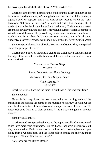Charlie reached for the nearest statue, but hesitated. Every summer, as far back as he could remember, he'd snuggled up on the couch with his mother, a gigantic bowl of popcorn, and a six-pack of root beer to watch the Tony broadcast. Not even his move to New York had ended that tradition. She'd made him promise he'd come home for a week every Christmas and a week around his birthday on June seventh. This year, his summer visit had coincided with the award show and likely would in years to come. And now, here he was, reaching out for an object he'd only ever seen on TV… and in his dreams. Suddenly, his eyes went wide with shock. *Oh, my God! I haven't called Mom!*

Simon stepped closer. "It's all right. You can touch them. They were pulled out of the garbage, after all."

Charlie gave Simon an inquisitive glance and then pushed a finger against the edge of the medallion on the first award. It swiveled around, and the back was inscribed:

> *The American Theatre Wing Presents To Lester Braunstein and Simon Sonntag This Award For Best Original Score "Lady, Beware!" 1961–1962*

Charlie swallowed around the lump in his throat. "This was your first."

Simon nodded.

He made his way down the row a second time, turning each of the medallions and reading the names of the musicals he'd grown up with. Of the nine, he'd been in two of these shows and seen productions of four more. He knew each song from all of them by heart. "This is like waking up on another planet."

Simon was all smiles.

Charlie turned to inspect the shelves on the opposite wall and was surprised to see three more rows of trophies. Like the Tonys, they were all identical, but they were smaller. Each statue was in the form of a frosted-glass quill pen rising from a wooden base, and the lights hidden among the shelving made them glow. "Whoa! What are all these?"

"Ah, those are the Drama Desks."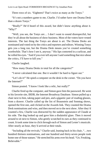Three rows of six. "Eighteen? That's twice as many as the Tonys."

"It's not a numbers game to me, Charlie. I'd rather have one Drama Desk than a dozen Tonys."

"Really?" He'd heard of this award, but didn't know anything about it. "Why?"

"Well, you see, the Tonys are… I don't want to sound disrespectful, but they're all about the business of show business. Most of the voters have vested interests. The last thing the Tonys are about is art. The Drama Desks are nominated and voted on by the critics and reporters and editors. Winning Tonys gets you a long run, but the Drama Desk means you've created something worthwhile. That's how I see it, anyway." His lips contorted in a curlicue, and he rolled his eyes. "And if you ever tell anyone I said something that nice about the critics, I'll have to kill you."

Charlie laughed.

"How many Drama Desks in total for all the categories?"

"I never calculated that one. But it wouldn't be hard to figure out."

"Let's do it!" He spied a computer on the desk in the corner. "Do you have the Internet?"

Simon pouted. "I know I look like a relic, but really?"

Charlie fired up the computer, and Simon gave him the password. He went to his favorite site, IBDB, the Internet Broadway Database. Simon pulled up a chair next to him, taking paper and pen, and a gigantic pair of reading glasses, from a drawer. Charlie called up the list of Braunstein and Sonntag shows, opened the first one, and clicked on the Awards link. They counted the Drama Desk nominations and wins, and then moved on to the next show. After they'd counted a few, Charlie was distracted by the sudden appearance of Claude at his side. The dog looked up and gave him a disdainful glare. Then it moved around to sit next to Simon, who gently scratched its ears as they continued to count. It took some time to click through each of Simon and Lester's musicals. After nearly an hour, they'd arrived at their totals.

"Including all the revivals," Charlie said, leaning back in his chair, "…two hundred thirteen nominations, and one hundred and thirty-seven people took home one of those statues." He stretched his arms over his head. "Un. Freaking. Believable."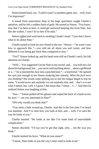Simon leaned back, too. "I said it wasn't a numbers game, but… well, even I'm impressed."

A sound from somewhere deep in the huge apartment caught Charlie's attention, and he felt a sudden flush of guilt. He turned to Simon. "You know, now that I've been in here, it could get awkward keeping this from Nate. Just like the walker, I won't lie to him if he asks."

Simon sighed and went back to stroking Claude's head. "I just don't know what to do about Nate."

Charlie turned to look his new friend in the eye. "Simon—" he wasn't sure how to approach this "—you told me all about you and Lester, and how different it was being gay back then compared to now."

"Yes?" Simon looked up, and his hand went still on Claude's neck, his full attention on Charlie.

"Well… You suggested I invite Nate to my recital, and… you told me a lot about his background, but… you never said anything about… about a girlfriend or a—" he scrunched his face into a pinched knot "—a boyfriend." He opened his eyes just enough to see Simon studying him intently. *What the fuck were you thinking?* His words came spilling out so fast his tongue began to trip on some. "I would never ask anybody t-to out anybody else, and… that's n-n-not what I meant, but, well, I-I guess I did mean that. I mean… I—" And then he realized Simon was laughing at him.

"Son—" Simon pulled off his glasses and wiped the back of a hand across his eyes "—are you interested in Nate?"

"Wh-why would you think that?"

"You seem a little wound up, Charlie. And this is the first time I've heard you stammer. And I've seen how you look at him, and… well, I've seen the way he looks at you."

Charlie snorted. "He looks at me like I'm some kind of unavoidable complication."

Simon chuckled. "I'd say you've got that right, only… not the way you think."

Charlie knitted his brow. "What do you mean?"

"I mean, Nate looks at you the way Lester used to look at me."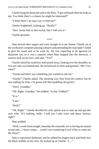Charlie hung his head and said to the floor, "I get confused when he looks at me. You think there's a chance he might be interested?"

"I think there's an easy way to find out?"

Charlie brightened, looking up. "Really?"

"Sure. Invite him to that recital, like I told you to."

Charlie groaned.

\*\*\*\*

Nate arrived after supper and went straight in to see Simon. Charlie sat at the workroom computer playing solitaire and pretending the man hadn't failed to give his usual nod as he went by. He was expecting to be ignored on departure too, so it was a surprise when Nate stepped into the doorway, a curious look on his face, and said, "Yes?"

Charlie raised his eyebrows and turned away, looking over his shoulder, as if to see who was behind him. He turned back to Nate and grinned. "Me? Yes, what?"

"Zayda said there was something you wanted to ask me."

"Zayda?" Charlie asked. The meaning was clear from the context, but he was stalling for time. *I'm gonna kill that meddling old geezer!*

"Sorry. Grandpa."

"Oh. Right. Grandpa." He nodded. "Is that Yiddish?"

"It is."

"I see."

"Well?"

"Oh. Right." Charlie decided his only option was to man up and get this over with. "It's nothing, really. I told you I take voice and dance lessons, right?"

Nate nodded.

"Well, a week from tonight, Saturday the sixteenth, we're having our annual recital and… I have comps… a-and I was wondering if you'd like to come see the show?"

Nate's expression darkened, and he rubbed his fingers back and forth over the black stubble on his chin. He looked up at Charlie. "I…"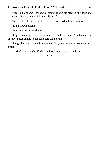*I can't believe you were stupid enough to put the man in this position.* "Look, don't worry about it. It's no big deal."

"No, I… I'd like to, it's just… I'm not sure… What time Saturday?"

"Eight-fifteen curtain."

"Wait. You're not working?"

"Roger's coming in to cover for me. It's on the schedule." He indicated a sheet of paper pinned to the corkboard on the wall.

"I might be able to come. I'm not sure. Can you leave me a ticket at the box office?"

Charlie knew a brush-off when he heard one. "Sure. I can do that."

\*\*\*\*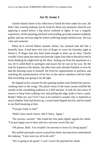#### **Act II, Scene 3**

Charlie leaned closer to his reflection to finish the liner under his eyes. He didn't like wearing makeup, but he lived for these rare moments when he was applying it seated before a big mirror outlined in lights. It was a singular experience; all the planning and hard work leading up to that moment suddenly gelled, and any nervous edge he'd been suffering simply melted away. He was calm and centered.

When he'd arrived fifteen minutes before, his stomach had felt like a butterfly farm. It had been very nice of Roger to cover his Saturday night at Simon's. If Roger had also been kind enough to show up on time, Charlie wouldn't have spent the entire trip from the Upper East Side to Brooklyn tied in knots thinking he might hold up the show. Setting out from the apartment at a run, he'd called Barb to apologize and assure her he was on his way. By the time he'd gotten to the theater, the other men were already finished, so now he had the dressing room to himself. He lived for opportunities to perform, and watching the transformation of his face in the mirror somehow told his body that everything was going to be all right.

He slipped on his costume for the opening number and climbed the narrow, creaking stairs to the wings. The plush velour of the main curtain muffled the sounds of the assembling audience to a dull murmur. It took his last ounce of reserve to keep from walking over and pulling the edge aside to have a peek. *Really? What are you? Five?* Just as he started to wonder why it mattered so much whether Nate had shown up, a warm hand slipped into his, and he turned to see Barb beaming at him.

"You got ready so fast!"

"Didn't have much choice, did I? Sorry. Again."

"No worries, sweetie." She rested her free palm lightly against his cheek. "I'm just happy you're here and not a nervous wreck like me."

"Oh please, Barb. You wouldn't be nervous in front of a firing squad."

She smiled and made a move to pinch his cheek, but must have remembered the makeup. "I just want you all to do well."

"We're going to be great!" *I can't resist!* He pinched her cheek.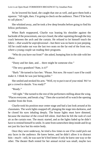As he lowered his hand, she caught that one as well, and gave them both a squeeze. "All right, then. I'm going to check on the audience. Then I'll be back to call places."

She whisked away, and he took a few deep breaths before going to find his fellow performers.

When Barb reappeared, Charlie was leaning his shoulder against the backside of the proscenium, one eye closed, the other squinting through the tiny crack between the arch and the curtain. He refused to let himself touch the fabric—*that would be unprofessional*—but there was no harm in just peeping. All he could make out was the last two seats on the far end of the front row, where a young couple sat reading their programs.

"Who do you have out front?" she asked, bumping him in the side with her elbow.

"Dusty and her date, and… there might be someone else."

"The sexy grandson? Nate, is it?"

"Barb." He turned to face her. "Please. Not now. He wasn't sure if he could make it. I think he was just being polite."

She smiled and stroked his arm. "Well, try to put it out of your mind. We've got a crowd to dazzle. You ready?"

"Ready."

"All right." She turned to the rest of the performers milling about the wing. "Places everyone, and break a leg." Then she scurried off to watch the opening number from the front.

Charlie took his position near center stage and had a last look around at his classmates. The work lights snapped off, plunging the stage into darkness, and he closed his eyes inhaling deeply. The house lights must have dimmed, because the murmur of the crowd fell silent. And then he felt the rush of cool air as the curtain rose. The music started, and as the lights faded up he didn't have to remind himself to smile. It came from somewhere deep inside and lit up not just his face but his entire body.

Once they were underway, he tried a few times to see if he could pick out any faces in the audience. He knew better, and he didn't allow it to distract him—*much*—still, he was sure he'd feel better if only he knew one way or the other. The theater Barb rented for her annual recital was small, maybe two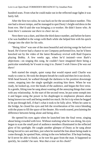hundred seats. From what he could make out in the reflected stage lights it was fairly full.

After the first two solos, he was back on for the second dance number. This one had a slower tempo, and he managed to spot Dusty's bright-red dress in the front row. She'd said she was bringing a co-worker. He didn't know who. *At least there's someone out there to cheer me on.*

Next there was a duet, and then the third dance number, and before he knew it he was huddled in the wings with Barb while she helped him with his quick change into the shirt for his solo.

"Being Alive" was one of the most beautiful and stirring songs he had ever heard. He'd never had a chance to see *Company* performed live, but he'd been knocked out by the video of the latest Broadway revival with Raúl Esparza playing Bobby. A few weeks ago, when he'd insisted—over Barb's objections—on singing this song, he couldn't have imagined there being a particular somebody he'd want to sing it to. *Damn! I wish I knew if he was out there!*

Seth started the simple, quiet vamp that would repeat until Charlie was ready to come in. He took the deepest breath he could and then let it out slowly. With head bowed, he walked through the darkness to his position downstage center, stepping into the single spotlight awaiting him there. When he was ready, he looked up, over the heads of the audience, and began the first verse. In a gentle, lilting tone he sang about wanting all the annoying things that come with any relationship. At the start of the second verse, he put some oomph into it and began using the power in his diaphragm to emphasize phrases about being known too well and being needed too much. He let it rip when he begged to be put through hell, if that's what it took to be fully alive. When he came to the bridge, he closed his eyes and felt the reverberation of his voice blending with the piano to fill the space of the theater. His words soared, proclaiming the difference between being alone and being alive.

He opened his eyes again when he launched into the final verse, singing about being crowded with love. Without realizing what he was doing, his eyes began to scan the small pool of audience members illuminated in the reflected glow of his spotlight. He caught another glimpse of Dusty as he sang about being forced to care and then, just when he started the line about being made to come through, he spotted Nate, sitting in the row behind her. If he kept looking, he'd never be able to finish, so he tore his gaze from the man. It happened so quickly, he couldn't be sure. *Was that a tear on his cheek?*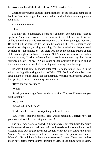Charlie put everything he had into the last lines of the song and managed to hold the final note longer than he normally could, which was already a very long time.

And then it was over.

Silence.

But only for a heartbeat, before the audience exploded into raucous applause. As he bent forward to bow, movement caught the corner of his eye, and he glanced to that side to see someone in the third row getting to their feet. He hung his head low, and by the time he stood up, the entire audience was standing too, clapping, hooting, whistling. His chest swelled with the praise and acceptance—the connection—but there was one connection he craved, and he stole another glance in Nate's direction. Nate's smile was electric, and when their eyes met, Charlie understood why people sometimes say their heart "skipped a beat." The heat in Nate's gaze pushed Charlie's grin wider, and he took one more quick bow before turning and running from the stage.

He wasn't sure what happened after that. He found himself seated in the wings, hearing Alison sing the intro to "What I Did For Love" while Barb was struggling to help him into his top for the finale. When his head popped through the opening, tears were streaming down her face.

"Baby, did you hear me?"

"What?"

"I said, you were magnificent! And that ovation? They could have eaten you with a spoon!"

"He's here!"

"What? Who? Oh! Nate?"

Charlie nodded, unable to wipe the grin from his face.

"Oh, sweetie, that's wonderful. I can't wait to meet him. But right now, get your ass back out there and sing and dance!"

The finale was flawless, and when the curtain rose for their bows, the entire audience was already on their feet. With each solo bow, hoots and hollers and whistles came bursting from various sections of the theater. *There may be no business like show business, but there's no audience like family and friends.* When Charlie took his solo bow, the whole crowd roared. There was one last group bow, before they gestured in unison to Seth. The applause swelled again.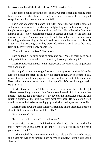They joined hands down the line, taking two steps back and raising their hands as one over their heads, holding them there a moment, before they all swept low in a final bow as the curtain fell.

There was a moment of silence in the dark before the work lights came on and his classmates erupted in a burst of delighted squeals and exhausted sighs. People were hugging and kissing all around him. He collected a few hugs himself as his fellow performers began to scatter and rush to the dressing rooms. They were going out to celebrate, but Charlie had to be back at work first thing in the morning, so he followed them down the stairs to collect his bag, saying his good-nights as they departed. When he got back to the stage, Barb and Jerry were the only people left.

"They all cleared out fast," Charlie said.

Barb nodded. "The siren song of pizza and beer. Most of them have been eating rabbit food for months, to be sure they looked good tonight."

Charlie chuckled, thankful for his metabolism. They kissed and hugged and said good night.

He stepped through the stage door onto the tiny stoop outside. When he turned to descend the steps to the alley, his breath caught. Even from the back, it was clear the man leaning against the brick wall at the foot of the stairs was Nate. When he turned around and looked up, Charlie's breath caught again. *He's dashing!*

Charlie took in the sight before him. It must have been the height difference—looking down at Nate from above instead of looking up a few inches—because for a moment he saw beyond the impressive package and caught a glimpse of the little boy Nate must have been. He held a single red rose in what looked to be a crushing grip, and when their eyes met, he smiled.

Charlie came down the steps till he was standing on the last one, a little too close to Nate and several inches taller. "Hi."

Nate swallowed. "Hi."

"Um—" he looked down "—is that for me?"

Nate startled, surprised to find the flower in his hand. "Oh. Yes." He held it out. "They were selling them in the lobby." He swallowed again. "It's for a good cause. I think."

Charlie plucked the stem from Nate's hand, held the blossom to his nose, and closed his eyes as he inhaled. Then he smiled at Nate. "I wasn't sure you'd show up."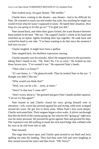Nate looked away, his gaze distant. "Me neither."

Charlie knew coming to the theater—any theater—had to be difficult for Nate. He yearned to reach out and soothe that ache, but anything he might say would reveal what he wasn't supposed to know. He hated their situation. *How long are you going to let this go on?* "I'm glad you did."

Nate turned back, and when their gazes locked, the scant distance between them melted in the heat. "Me too." He cupped Charlie's cheek in his hand and stretched up on tiptoe, lightly brushing their lips together. He sank back and cocked his head to one side. "I've been wanting to do that since the moment I laid eyes on you."

Charlie laughed. It might have been a guffaw.

Nate stepped back, his ebullient expression souring.

Charlie instantly saw his mistake. *Idiot!* He stepped down to the pavement, taking Nate's hands in his. "Oh, Nate! No. I'm so sorry." He looked up into those brown eyes. "I've wanted it too." He squeezed Nate's hands.

"Then what's so funny?"

"It's not funny, I—" He glanced aside. Then he looked Nate in the eye. "I thought you didn't like me."

"Why would you think that?"

"Well, you can be a bit… stern, at times."

"Stern? Is that how I come off?"

"Don't worry about it." He grinned and gave Nate's hands another squeeze. "Can we try that again?"

Nate leaned in and Charlie closed his eyes, giving himself over to sensation—soft, warm lips pressed against his and strong, solid arms wrapped around his waist. He got lost in those arms. When Nate's kiss went deeper, Charlie welcomed him. Their tongues began a slow waltz. A shiver ran through him like the thrill of the curtain going up, but what he felt "going up" right now was far more personal. He pressed his groin against Nate and ground his hips. The expensive suit did nothing to mask the rock-hard bulge that collided with his own as he slid from side to side.

Nate moaned.

The stage door burst open, and Charlie spun around to see Barb and Jerry spilling out onto the landing. They had their arms full and were laughing as they turned toward the stairs and then froze. "Oh! Sorry!"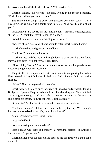Charlie laughed. "No worries," he said, wiping at his mouth demurely. "Barb, Jerry, I'd like you to meet Nate."

She shoved her things at Jerry and traipsed down the stairs. "It's a pleasure," she said, placing a dainty hand in Nate's. "I've heard so little about you."

Nate laughed. "I'd have to say the same, though"—he cast a sidelong glance at Charlie—"I think that may be about to change."

"We didn't mean to interrupt. We'll just be going."

"No, it's okay," Nate said. "I was about to offer Charlie a ride home."

Charlie looked up and grinned. "Excellent!"

"Shall we?" Nate crooked his arm.

Charlie turned and slid his arm through, looking back over his shoulder as they walked away. "'Night Jerry. 'Night Barb."

"Good night, Charlie." She put her thumb to her ear and her pinkie to her lips, mouthing the words, "Call me."

They strolled in companionable silence to an adjacent parking lot. When Nate pressed his key fob, lights blinked on a black Lincoln Navigator, and it chirped.

"Wow!" *That's as big as dad's combine.*

Charlie directed Nate through the streets of Brooklyn and across the Pulaski Bridge into Queens. They pulled up in front of his building, and Nate switched off the engine, resting a hand on Charlie's knee. He turned in the driver's seat and cleared his throat. "You're off work Tuesday, right?"

"Right. And for the first time in months, no voice lesson either."

"So, I was thinking… I don't have to be in the city that day. We could go for that ride we talked about. Maybe a picnic lunch?"

A huge grin burst across Charlie's face.

Nate smiled back.

"Are you asking me out on a date?"

Nate's laugh was deep and throaty—a rumbling baritone to Charlie's tuneful tenor. "I guess I am."

Charlie leaned over the console and pressed his lips firmly to Nate's for a moment.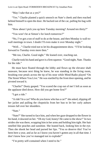"May I take that as a yes?"

"Yes." Charlie planted a quick smooch on Nate's cheek and then reached behind himself to open the door. He backed out of the car, pulling his bag with him.

"How about I pick you up here Tuesday morning? Around ten thirty?"

"You won't be at Simon's for lunch tomorrow?"

"No, I've got a ton of stuff to do at the house, and then Monday is wall-towall meetings in town. I doubt I'll even make it over Monday night."

"Well…" Charlie tried not to let his disappointment show. "I'll be looking forward to Tuesday even more then."

"Me too, Charlie. Good night." He leaned over, reaching out.

Charlie took his hand and gave it a firm squeeze. "Good night, Nate. Thanks for the ride."

He must have floated through the lobby and flown up the elevator shaft unaware, because next thing he knew, he was standing in the living room, brushing rose petals across the tip of his nose while Mind-Radio played "On The Street Where You Live." He was startled by the front door opening, and he pivoted toward it.

"Charlie!" Dusty gasped. "You scared the crap out of me! I left as soon as the applause died down. How did you get home first?"

"I got a ride."

"A ride? In a car? Who do you know who has a car?" she asked, slipping off her jacket and pulling the chopsticks from her bun to let her curly auburn tresses fall over her shoulders.

"Nate."

"Nate?" She turned to face him, and when her gaze dropped to the flower in his hand, it dawned on her. "Oh my God, honey! He came to the show!" In two strides she was there, wrapping him in her arms and holding him tight. Her hair smelled like peaches and sunshine. She leaned back, looking him in the eye. Then she shook her head and pursed her lips. "You so deserve this! You've been here a year, and as far as I know you haven't gotten any in all that time. I don't know how you've managed not to explode!"

"I'm pretty self-contained when I need to be."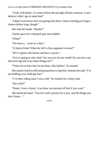"Yeah, well darlin', it's time to blow the top right off that container. I can't believe I didn't get to meet him!"

"I didn't even know if he was going to be there. I have a feeling you'll get a chance before long, though."

She took his hands. "Really?"

Charlie gave her a sheepish grin and nodded.

"What?"

"We have a… kind of, a date."

"A kind-of date? What the hell is that supposed to mean?"

"We're gonna ride horses and have a picnic."

"You're going to ride what? Are you out of your mind? Do you have any idea how big and scary those things are?"

"Yeah, but at least they're not dusty, like heifers," he taunted.

She raised a hand in affected preparation to slap him. Instead, she said, "I'm not kidding, you could get hurt."

"I've been riding since I was a kid," he insisted in a whiny tone.

"Say what?"

"Dusty. I own a horse. I can show you pictures of him if you want."

She shook her head. "You live with a person for a year, and the things you don't know…"

\*\*\*\*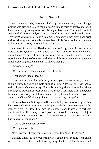## **Act II, Scene 4**

Sunday and Monday at Simon's had crept on in their petty pace—though Charlie was growing to love the old man's unique form of levity, and often found himself groaning at an astonishingly clever pun. The mind that had conceived all those witty lyrics over the decades was intact. *Seth's right. He is a treasure!* Much as he delighted in Simon's company, it was Nate's one brief visit on Monday that had made his heart beat a little faster, and his excitement had grown as Tuesday morning drew nearer.

*And now, here we are!* Heading east on the Long Island Expressway in Nate's big SUV, Charlie couldn't help but notice they were going a few miles under the posted speed limit, cars whizzing past in the other lanes. He was enjoying the change of scenery, and when a billboard came in sight, showing cattle promoting chicken dinners, he let out a laugh.

"What's so funny?"

"Oh, those cows. They reminded me of Dusty."

"That sounds kind of mean."

*Nice! Way to show him what a great guy you are.* He turned, ready to explain himself, and found Nate smiling at him. "It's not like that. See… well… I guess it's a long story. First, this morning, she was so excited about meeting you I thought she was gonna have a cow. Then, there's this thing with her name. I was very careful to pronounce it right when I introduced you—" *'cause she'd have killed me if I hadn't* "—but the way it's spelled…"

He looked over at Nate again and his smile had grown into a wide grin. *That looks so good on him!* Just a few weeks ago, Charlie had been wondering if the man ever smiled. Now it seemed he couldn't stop. It was a remarkable transformation. "Um… maybe inside jokes aren't worth explaining? You'll just have to trust me. It's funny." He took another look out the window. "I really like this part of the island."

"You've been out here before?"

"On my motorcycle."

Nate frowned. "I hope you're careful. Those things are dangerous."

It pained Charlie to know where all Nate's caution was coming from, and it was even worse that he couldn't say anything about it. It felt dishonest—and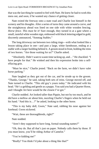that was the last thing he wanted to feel with Nate. He knew he had to work this mess out, and soon, if he wanted any chance of getting closer.

Nate exited the freeway onto a state road and Charlie lost himself in the scenery and his thoughts. After a series of turns they came around a curve, and the straightaway ahead was lined on one side with white wooden fencing. *Horse fence. This must be it!* Sure enough, they turned in at a gate where a small, tasteful white wooden sign, embossed with black lettering edged in gold, discreetly announced, "Sonntag Stables."

The long driveway ran between two riding rings—with what looked like a lesson taking place in one—and past a large, white farmhouse, ending at a stable with a larger building behind it. A groom stood in front, holding the reins of two horses. "Are those waiting for us?" Charlie asked.

"Absolutely. Didn't want to waste time tacking up, and…" He chuckled. "I have people for that." He winked and then his expression broke into a selfeffacing grin.

"Must be nice," Charlie jested. "Back on the farm, we didn't have valet horse parking."

Nate laughed as they got out of the car, and he strode up to the groom. "Thanks, George," he said, taking both sets of reins. George moved off, and Nate turned to Charlie. "This old guy's yours today." He indicated with his head. "He's a gelding and gentle as a puppy. You said you had a Quarter Horse, and I thought Art here would be the closest I've got."

Charlie nodded. Art looked taller than Pippin, but not by too much, and he did have a mellow air about him, nuzzling Charlie's fingers when he held out his hand. "And this is...?" he asked, looking to the other horse.

"This is my baby doll, Gwen," Nate said, rubbing his nose against her forehead. Gwen nickered.

"Wait, these are thoroughbreds, right?"

Nate nodded.

"Aren't they supposed to have long, formal-sounding names?"

"Oh, they do. But all that's just on paper. Nobody calls them by those. If you must know, you'll be riding Arthur of Camelot."

"You're kidding me!"

"Really? You think I'd joke about a thing like that?"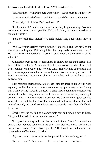"No. And then—" Charlie's eyes went wide "—Gwen must be Guinevere?"

"You're way ahead of me, though for the record she's Fair Guinevere."

"You said you had three. Do I need to ask?"

"I bet you don't." Nate's smile lit up the already bright morning. "We can go inside and meet Lance if you like. He's an Arabian, and he's a little skittish out on the trails."

"So, they're all 'show horses'?" Charlie couldn't help snickering at his own pun.

"Well… Arthur's retired from the stage," Nate joked. But then his face got that serious look again. "Before my folks died, they used to show them, but…" He took a breath and looked at Charlie. "I don't have the time for that, or the interest."

Almost three weeks of pretending he didn't know about Nate's parents had been painful for Charlie. At moments like this, it was an ache in his chest. He'd been looking for an opportunity to come clean. The watching and waiting had given him an appreciation for Simon's reluctance to raise the subject. Now that Nate had mentioned his parents, Charlie thought this might be the day to start a conversation.

They mounted their horses, Nate with the smooth grace of a man who rides regularly, while Charlie felt like he was clambering up a rickety ladder. Riding out, with Nate and Gwen in the lead, Charlie tried to take in the countryside around them, but every other minute he had to focus on shifting his weight around, trying to find a comfortable position. He'd heard that English saddles were different, but this thing was like some medieval torture device. The trail entered a wood, and Nate looked back over his shoulder. "It's about a half mile to the lake."

Charlie gave up on finding a comfortable seat and rode up next to Nate. "So, you inherited all this from your parents?"

Nate gave him a long look that Charlie couldn't read. "Yes. All this and my abba's import/export business in the city. They died two years ago in a car crash. I was driving. That's how I got this." He turned his head, aiming the damaged side of his face at Charlie.

"My God, Nate. I'm so sorry that happened. I can't even imagine it."

"No. You can't." There was no bitterness in his words. Just fact.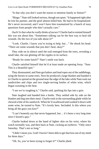"Is that why you don't want the nurses to mention family to Simon?"

"Bingo." Nate still looked serious, though not upset. "It happened right after he lost his partner, and the grief almost killed him. He had to be hospitalized. He's never recovered, and I won't have him traumatized by a bunch of nosy questions from people who don't actually care."

*Ouch! Is that what he really thinks of nurses?* Charlie had to remind himself this was not about him. "Sometimes talking can be the best way to heal old wounds. Do the two of you talk about it?"

"Look. Charlie. I know you're trying to help, but…" He shook his head. "There are some wounds that just don't heal, okay?"

They rode on in silence until the trail emerged from the trees, revealing a small lake, the sun glinting off the ripples in its surface.

"Ready for some lunch?" Nate's smile was back.

Charlie satisfied himself that he'd at least made an opening foray. "Sure. This is a beautiful spot."

They dismounted, and Nate got halters and lead ropes out of the saddlebags, tying the horses to some trees. Next he produced a large blanket and handed it to Charlie to spread on the ground near the edge of the lake while Nate took out sandwiches and chips and two single-serving bottles of white wine, which began sweating in the heat.

"I see we're roughing it," Charlie said, quirking his lips into a grin.

Nate laughed and handed him a bottle. They settled side by side on the blanket and dug into their meal. Charlie took in the surrounding glade while he chewed a bite of his sandwich. When he'd swallowed and washed it down with some wine, he turned to Nate. "It's lovely here. Secluded. Is this where you bring all the guys you kiss?"

"I can't honestly say that never happened, but… it's been a very long time since I kissed a guy."

Charlie looked down at the band of lighter skin on his wrist, where his watch normally was, and then back at Nate, cocking an eyebrow. "Only since Saturday. That's not so long."

"I didn't mean you. God! I haven't been able to get that kiss out of my mind for three days."

"Oh. So, you've been trying to forget it?" Charlie jibed.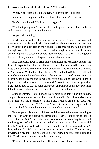"What? No!" Nate looked distraught. "I didn't mean it like that."

"I was just ribbing you, buddy. It's been all I can think about, too."

Nate's face softened. "I'd like to do it again."

"What's stopping you?" Charlie asked, setting aside the rest of his sandwich and screwing the top back onto his wine.

"Apparently, nothing."

Charlie leaned back, resting on his elbows, while Nate scooted over and then bent to take his mouth with fiery passion, driving into him and pressing down until Charlie lay flat on the blanket. He reached up and ran his fingers through Nate's hair. He drew a deep breath through his nose, and the heady aromas of pine and sweat and shower gel scrambled his senses, mingling with the taste of salty man and a lingering hint of chicken salad.

Nate's hand slid down Charlie's shirt until it came to rest on the bulge at the front of his pants. He rubbed small circles there. Charlie slipped his hand from Nate's hair and reached between them, delighted to find a matching prominence in Nate's jeans. Without breaking the kiss, Nate unbuckled Charlie's belt, and when he undid the button beneath, Charlie emitted a moan of appreciation. He hadn't risked being the one to make the first move since that awful night in high school, and he was relieved he wouldn't have to cross that bridge today. Nate tugged ever so slowly at his zipper tab, and Charlie could have sworn he felt a tiny pop each time the next pair of teeth released their grip.

Without warning, Nate plunged his tongue deep into Charlie's mouth, digging his hand under the waistband of his briefs. Charlie broke the kiss with a gasp. The heat and pressure of a man's fist wrapped around his cock was almost too much to bear. *Not "a man." Nate!* It had been so long since he'd done this, he'd forgotten how intense a simple human touch could be.

Nate peppered his mouth with kisses and then rose to his knees, grabbing at the waist of Charlie's jeans on either side. Charlie looked up to see an expression on Nate's face that was somewhere between inquisitive and imploring. He nodded his head and arched his hips off the blanket. Nate slid Charlie's pants and briefs to his ankles. He planted one knee between Charlie's legs, taking Charlie's dick in his hand again and stroking. Then he bent, lowering his head to it, but he stopped just before making contact and gazed up into Charlie's eyes, his face a study in uncertainty.

"I'm safe," Charlie assured him. "They test us every three months at work."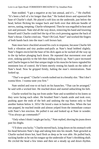Nate nodded. "I got a negative at my last annual, and it's…" He chuffed. "It's been a hell of a lot longer than that." He looked down and squeezed the base of Charlie's shaft. He placed a soft kiss on the underside, just below the head, before flicking his tongue back and forth over that delicate bundle of nerves, tasting, tempting. Charlie whimpered. Then he was engulfed in heat and wet and pressure. Nate slid all the way down, removing his hand and lowering himself until Charlie could feel the tip of his cock pressing against the back of Nate's throat. Charlie cried out, "Nate! Oh God, Nate!" and worked the fingers of both hands back into the man's soft brown hair.

Nate must have chuckled around his cock in response, because Charlie felt both a vibration and tiny pushes-and-pulls as Nate's head bobbed slightly. Nate's fingers encircled the base of his dick again as he sucked all the way up to the tip before plunging back down. He repeated that movement over and over, sinking quickly to the hilt then sliding slowly up. Nate's pace increased and Charlie began to feel that unique tingle in his muscles he knew signaled his imminent loss of control. He'd been merely resting his hands on the sides of Nate's head. Now he gripped firmly, halting the man's ministrations. Nate looked up.

"That's-so-good." Charlie's words rushed out in a breathy slur. "But I don't wanna blow. I wanna taste you first."

Nate smiled and rose to sit back on his haunches. "That can be arranged," he said with a wicked leer. He reached down and started unbuckling his belt.

Charlie worked his leg out from under Nate and scrambled to his knees so they were facing each other. He brushed Nate's hands aside and took over, pushing apart the ends of the belt and undoing the top button only to find another button below it. *501s!* He loved a man in button-flies. When the last one popped, he reached inside and almost yelped from the immediate contact with Nate's hot erection. He pulled it out and looked up at Nate in wonder. "You always go commando?"

"Only when I think I might get lucky," Nate replied, shoving his jeans down past his thighs.

"I'll show you lucky." Charlie moved back, lying down on his stomach with his head between Nate's legs and taking him into his mouth. Nate growled as Charlie sucked down hot, hard flesh as deep as he was able. He pulled back, sucking harder as he ran his tongue up the underside of Nate's throbbing shaft. He circled the head a few times and then set a steady up and down rhythm.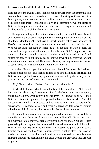Nate began to moan, and Charlie ran his hands upward from the denim that still covered Nate's knees and onto the exposed skin of his thighs. *Furry! This just keeps getting better!* His senses were pulling him in so many directions at once he couldn't keep track. He managed to divide his attention between the taste of Nate on his tongue and the soft texture of cotton covering a firm abdomen and hard pectorals as he slid his hands up over them.

He began fumbling with a button on Nate's shirt, but Nate followed his lead and saved him the trouble, freeing himself and slipping it off to hang from his shoulders. Maintaining his oral assault, Charlie ran his palms over the planes of Nate's bare stomach and up, once again, to the hairy mounds of his chest. Without breaking the regular tempo he'd set bobbing on Nate's cock, he squeezed those pecs with all his might. He rubbed at Nate's nipples with his thumbs. When that fondling elicited another growl, he tilted his head and shifted his gaze to find the man already looking down at him, studying the spot where their bodies connected. He slowed his pace, pausing a moment at the top of each stroke to swirl his tongue around Nate's crown.

And then Nate stopped him with a hand planted firmly on his forehead. Charlie closed his eyes and sucked as hard as he could as he slid off, releasing Nate with a pop. He looked up again and was stunned by the beauty of the panting hirsute sex god above him. "Too much?"

"No," Nate croaked. "Perfect. But… but let's share this."

Charlie didn't know what he meant at first. It became clear as Nate rolled him onto his side and lay down next to him. Charlie hadn't watched much porn, but enough to know what a sixty-nine was, even if he'd never done it. He took Nate into his mouth again and his eyes rolled back in his head when Nate did the same. His mind short-circuited and he gave up even trying to sort out the sensations. His concepts of self and other shattered and fell away as mouths glided over dicks in unison, their sweaty bodies writhing in tandem.

He faltered for a moment when Nate grabbed his nuts and squeezed them tight. He mirrored the action drawing a groan from Nate. Charlie groaned back and matched Nate's moves, alternately rubbing and pulling on his balls. Nate groaned again, and again Charlie echoed the sound, an erotic call of the wild. With Nate's next squeeze, he realized he'd passed the point of no return. Charlie had never tried to growl—except maybe in acting class—but now he made the fiercest sound he could, and he was shocked by the vibrations charging through his cock and into his groin when Nate growled a lusty, robust response.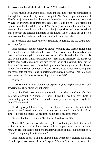Every muscle in Charlie's body seized and spasmed when his climax ripped through him. Just as his hips were jerking into Nate's face, spurt after spurt of Nate's hot jism erupted into his mouth. *Vesuvius has lain too long dormant!* Waves of aftershocks coursed through Charlie, and he felt Nate trembling against him. He traced the form of Nate's thigh with his palm, relishing the texture of that rough, curly hair and the juxtaposition of those rock-hard muscles with the softening member in his mouth. He let it slide out and felt a caress of cool air on his own dick when it fell from Nate's lips.

His breathing and heart rate were returning to normal, and his entire body was limp. *Spent…*

Nate somehow had the energy to sit up. When he did, Charlie rolled onto his back, looking up at the cloudless sky as Nate swung himself around and lay down beside him again. He put an arm around Charlie and pulled him to his still-heaving chest. Charlie cuddled there, first skating the heel of his hand over Nate's pecs and then making lazy circles with the tip of his middle finger in the hairy cleft between them. He looked up to meet Nate's gaze, and his breath caught from the depth of emotion he saw in those eyes. It seemed this might be the moment to ask something important, but what came out was, "Is Nate your real name, or is it short for something, like Nathaniel?"

"Sort of."

Charlie donned his best incredulous expression, cocking both eyebrows and lowering his chin. "Sort of Nathaniel?"

Nate chuckled. "My mom was Orthodox, and she named me after her paternal grandfather. Natanael." Charlie tilted his head to give Nate a questioning glance, and Nate repeated it, slowly pronouncing each syllable. "nah-TAHN-eye-EL."

Charlie propped himself up on one elbow. "Natanael," he mimicked perfectly. He looked into Nate's smiling eyes and stroked the backs of his fingers across his cheek. "A beautiful name, for a beautiful man."

Nate broke their gaze and rolled his head to the side. "Um…"

*Damn!* He'd been so overwhelmed by his own feelings, it hadn't occurred to him Nate was sure to have issues with his appearance. *Don't spoil this moment!* He took Nate's hand, pulling it toward him and kissing the back of it. "You're completely beautiful to me."

Nate looked back, staring at Charlie's lips where they brushed his hand. Then his gaze rose to meet Charlie's again. "Thanks." He drew a slow breath.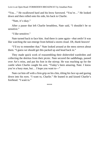"You…" He swallowed hard and his brow furrowed. "You're…" He looked down and then rolled onto his side, his back to Charlie.

"Nate, it's okay."

After a pause that left Charlie breathless, Nate said, "I shouldn't be so sensitive."

"I like sensitive."

Nate turned back to face him. And there it came again—*that smile!* It was like watching the sun emerge from behind a storm cloud. *Oh, thank heaven!*

"I'll try to remember that." Nate looked around at the mess strewn about them. "I guess we should get this packed up and head back in."

They made quick work of reassembling their disheveled wardrobes and collecting the detritus from their picnic. Nate secured the saddlebags, passed over Art's reins, and put his foot in the stirrup. He was reaching up for the cantle when Charlie caught his arm. "Today's been amazing, Nate. I know you're a busy man, but… I hope you want to—"

Nate cut him off with a firm grip on his chin, tilting his face up and gazing down into his eyes. "I want to, Charlie." He leaned in and kissed Charlie's forehead. "I want to."

\*\*\*\*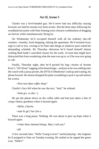## **Act II, Scene 5**

Charlie was a level-headed guy. He'd never had any difficulty staying focused, nor had his moods ever been erratic. But the three days following his woodland encounter with Nate Sonntag were a bizarre combination of dragging on forever while simultaneously flying by.

On Wednesday he'd occupied himself with all his ordinary day-off routines—laundry, food shopping, tidying the apartment. He'd resisted every urge to call or text, vowing to let Nate take things at whatever pace suited his demanding schedule. By Thursday afternoon he'd found himself almost wishing Barb hadn't cancelled classes for the week. At least that might have distracted him from wondering what the man was up to, or if he was ever going to call.

Finally, Thursday night, after he'd packed his bag—strains of Jerome Kern's "All Alone" tugging at his heartstrings—and just as he was settling onto the couch with a pizza pocket, the DVD of *Oklahoma!* cued up and waiting, his phone buzzed. He almost dropped his plate scrambling to pick it up and unlock the screen.

*~Next tues 6pm coffee shop?*

Charlie's face fell when he saw the text. "Joel," he whined.

*~Snds grt. cu ther :)*

He put the phone down on the coffee table and had just taken a bite of crispy-cheesy goodness when it buzzed again.

*~Hello, Charlie.*

*~nate hi gd 2 her frm u*

There was a long pause. Nothing. He was about to give up hope when it buzzed again.

*~I hate these damned things. May I call you? ~plz*

A few seconds later, "Hello Young Lovers" started playing—the ringtone he'd assigned to Nate on Tuesday evening. He smiled as he tapped the green icon. "Hello?"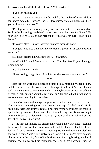"I've been missing you."

Despite the tinny connection on the mobile, the rumble of Nate's dulcet tones reverberated all through Charlie. "I've missed you, too, Nate. Will I see you at Simon's tomorrow?"

"I'll stop by in the morning on my way to work, but it's a bear of a day. Back-to-back meetings, and then I have to take some clients out for dinner." He snorted. "They're Belgians, just here for a few days, so I'm sure it'll go till all hours."

"It's okay, Nate. I know what your business means to you."

"I've got some free time over the weekend. I promise I'll come spend it with you."

Warmth blossomed in Charlie's chest. *He wants me!*

"And I think I could free up most of next Tuesday. Would you like to go riding again?"

"I'd like that very much."

"Great, well, gotta go, but… I look forward to seeing you tomorrow."

\*\*\*\*

Nate kept his word and slipped in briefly Friday morning, visited Simon, and then sneaked into the workroom to plant a peck on Charlie's cheek. It only took a moment for it to turn into something hotter, but Nate pushed himself out of their clench, cursing about his early meeting. He ducked out, promising to return the next morning for breakfast.

Simon's afternoon challenge to a game of Scrabble came as welcome relief. Concentrating on making crossword connections kept Charlie's mind off his seemingly insatiable desire to run his fingertips over a hairy chest. He chalked up his being trounced by a man three times his age to his overwrought emotional state as he glowered at the J, Q, X, and Z snickering at him from his letter tray. *I have all the luck!*

By the time he finished his dinner that evening, he was relaxed—leaning back with his feet on the workroom table and his hands behind his head, looking forward to seeing Nate in the morning. He glanced over at the clock on the wall. Again. *Eight p.m.* Twelve more hours till he might have another chance to turn that big, foreboding businessman into a gibbering puddle of gushing goo. He realized his relaxation had segued into boredom when he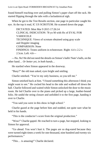found himself reaching over and pulling Simon's paper chart off the rack. He started flipping through the tabs with a lackadaisical sigh.

When he got to the Test Results section, one page in particular caught his eye. At the top it read, IC US SCROTUM. He scanned down the page.

DICTATED: Mon Mar 9 2015 17:26:14 CLINICAL INDICATION: 78 yo M with Hx of EVAL FOR VARIOCELE TECHNIQUE: Views of scrotum obtained using gray scale and Doppler imaging COMPARISON: None FINDINGS: Testes uniform in echotexture. Right: 4.4 x 2.2 x 2.5cm. Left: 4.6—

—No. *No!* He did not need the details on Simon's balls! Nate's balls, on the other hand… *Or better yet, in both hands…*

He startled when Simon appeared in the doorway.

"Busy?" the old man asked, eyes bright and smiling.

Charlie smirked. "You're my only business, so you tell me."

Simon smirked back at him. "I found something this afternoon I think you might want to see." He cocked his head to the side and walked off down the hall. Charlie followed and waited while Simon unlocked the door to the music room. He led Charlie over to the piano and picked up a large, leather-bound folio. He undid the string closure and unfolded it to the first page, handing it over to Charlie.

"You said you were in this show in high school."

Charlie gazed at the page before him and nodded, not quite sure what he held in his hands.

"This is the conductor's score from the original production."

"Wow!" Charlie gaped. He reached to turn a page, but stopped, looking to Simon for approval.

"Go ahead. You won't hurt it. The pages are so dog-eared because they were turned eight times a week for one thousand, nine hundred and twenty-six performances."

"This… is amazing!" Charlie declared.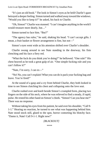"It's just an old book." The look in Simon's eyes as he held Charlie's gaze betrayed a deeper feeling. Simon turned and walked away toward the windows. "Would you like to keep it?" he asked, his back to Charlie.

"Oh, Simon!" Charlie was stunned. "I can't imagine anything in the world I would treasure more dearly, but…"

Simon turned to face him. "But?"

"The agency has rules," he said, shaking his head. "I can't accept gifts. I mean, a fruit basket or flower arrangement is fine, but not—"

Simon's eyes went wide as his attention shifted over Charlie's shoulder.

Charlie swung around to see Nate standing in the doorway, his fists clenching and his face a fiery red.

"What the fuck do you think you're doing?" he bellowed. "One rule!" His chest heaved as he took a great gulp of air. "One simple fucking rule and you can't follow it?"

"Nate, I'm sorry, I can ex—"

"No! No, you can't explain! What you can do is pack your fucking bag and leave. You're fired!"

At the sound of a gasp and a cry from behind Charlie, they both looked in time to see Simon clutching his chest and collapsing onto the love seat.

Charlie rushed over and knelt beside Simon's crumpled form, placing two fingers on the side of his neck, where he was relieved to find a steady, if rapid, pulse. He rested his other hand on Simon's cheek. "Simon? Can you hear me?" There was no response.

Without taking his eyes from his patient, he said over his shoulder, "Call 9- 1-1." Hearing no reaction, he turned to see what was happening behind him. Nate stood stock still, glued to the spot, horror contorting his blotchy face. "Damn it, Nate! Call 9-1-1. Right now!"

#### *[BLACKOUT]*

\*\*\*\*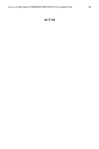# **ACT III**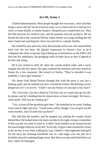### **Act III, Scene 1**

Charlie hated hospitals. Most people thought that was ironic, what with him being a nurse and all, but he'd known early on in school that he'd end up in a clinic or home health, or maybe hospice. Hospitals just creeped him out. They felt like factories for medical care, and the patients were the products. He sat beside the bed in the curtained ER bay where Simon was lying, holding the old man's hand and watching his chest rise and fall in a steady rhythm.

He closed his eyes and took a few deep breaths of his own. His mind drifted back over the last hour: the ghastly expression on Simon's face as he'd collapsed, the clatter of gurney legs folding up on themselves as the EMTs slid him into the ambulance, the grudging looks on their faces as they'd agreed to let him ride along.

He'd just started to drift off when the curtain jerked aside, and a nurse stepped into the tiny space. Her gaze scanned the monitors and then rested on Simon for a few moments. She turned to Charlie. "They've decided it was probably a vasovagal response."

*Oh, thank God!* Relief flowed through him with the news it was just a fainting spell, and he realized just how worried he'd been. *But fainting can be dangerous if it's recurrent.* "I didn't see any history of syncope in his chart?"

"No. First time. Our docs think he'll be fine, but we could only get his doc by phone, and he's holding him for observation, at least overnight. We have a room ready. Will you be coming up?"

"Yes, at least till the grandson gets here." He stretched as he stood, finding every muscle tight and achy. "I need some coffee, though. Can you give me the room number, and I'll meet him up there?"

She told him the number, and he stepped out, pulling the curtain closed behind him. He looked down the short corridor to his right, trying to remember if that was the way they'd come in. It didn't look familiar so he turned toward the much longer hallway on his left. As he did, a figure came around the corner at the far end. It was Nate, walking his way. Charlie's chest tightened with grief for the mess the Sonntag household was in—and anger over the part he'd foolishly played in making things worse. But there was also relief that Nate was here, where he belonged.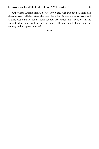And where Charlie didn't. *I know my place. And this isn't it.* Nate had already closed half the distance between them, but his eyes were cast down, and Charlie was sure he hadn't been spotted. He turned and strode off in the opposite direction, thankful that his scrubs allowed him to blend into the scenery and escape undetected.

\*\*\*\*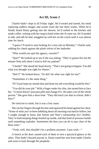## **Act III, Scene 2**

Charlie hadn't slept at all Friday night. He'd tossed and turned, his mind replaying endless images and scenes from the last three weeks. When he'd finally heard Dusty getting into the shower, he'd rushed to the kitchen and made coffee, waiting with her mug in hand when she'd come out. He'd needed to talk, and talk he had, snuggled up with her on the couch until it was almost time for lunch.

"I guess I'll need to start looking for a new job on Monday," Charlie said, rubbing his cheek against the plush velvet of her bathrobe.

"Why would you quit the agency, sweetie?"

"Quit?" He looked up to see if she was joking. "They're gonna fire me the minute Nate tells them I tried to kill my patient!"

"Charlie!" She shook her head slowly. "That's not going to happen. You did what you thought was right for Simon."

"Did I?" He looked down. "Or did I do what was right for me?"

"Sometimes it's the same thing."

"If I'd just kept my mouth shut and done my job everything would be fine."

"You did do your job." With a finger under his chin, she turned him to face her. "A nurse doesn't just pass pills and change IVs. He takes care of the whole person." She gave him a stern look. "They did teach you that in school, didn't they?"

He tried not to smile, but it was a lost cause.

She ran her fingers through his hair and squeezed his head against her chest. "Some of what you've been babbling about all morning was hard to follow, but I caught enough to know that Simon and Nate's relationship isn't healthy. They're both keeping things bottled up inside, and that kind of pressure builds until something explodes. Sometimes the best you can do is stay clear of the blast zone."

"Yeah, well, that shouldn't be a problem anymore. I just wish—"

A knock at the door caused each of them to turn a quizzical glance at the other. They hadn't buzzed anyone in. Dusty eased her arm from under Charlie and went to look through the peephole.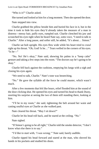"Who is it?" Charlie asked.

She turned and looked at him for a long moment. Then she opened the door.

Nate stepped into view.

Charlie grabbed the pillow beside him and buried his face in it, but in the time it took to hide his eyes they'd already taken the measure of a man in distress—messy hair, puffy eyes, rumpled suit. Charlie clenched his jaw and scrunched his eyes tight when he heard Nate say, sotto voce, "I need to talk to Charlie." After a long pause, and softer still, he added, "It's about… Simon."

Charlie sat bolt upright. His eyes flew wide while his heart tried to crawl right up his throat. "Oh, God! Is he…" Tears welled in the corners of his eyes. "Is he—"

"No. No! He's okay," Nate said, showing his palms in a "keep calm" gesture and taking a few steps into the room. "The doctors say he's going to be okay."

Charlie fell back against the cushions, emptying his lungs with a sigh and closing his eyes again.

"We need to talk, Charlie." Nate's tone was beseeching.

"No." He gave the syllable all the force he could muster, which wasn't much.

After a few moments that felt like hours, relief flooded him at the sound of the door clicking shut. He opened his eyes and turned his head to thank Dusty, snorting his surprise at seeing the two of them still standing there, looking at him.

"I'll be in my room," she said, tightening the belt around her waist and casting soulful eyes at Charlie as she walked past.

Nate cleared his throat. "May I sit down?"

Charlie let his head roll back, and he stared at the ceiling. "No."

Nate sighed.

"If Simon's going to be all right," Charlie told the smoke detector, "I don't know what else there is to say."

"I'd like to start with, 'I was wrong,'" Nate said, barely audible.

Charlie tipped his head forward and stared at the man, who shoved his hands in his pockets and studied his shoes.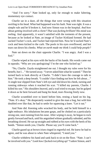"And I'm sorry." Nate looked up, only far enough to make faltering, momentary eye contact.

Charlie sat in a daze, all the things that were wrong with this situation swirling in his head. What had happened was his fault. Nate was right. It was a simple rule and he'd broken it. And now Simon was in the hospital. *And how about getting involved with a client? That was fucking brilliant!* His mind was reeling. And apparently, it wasn't satisfied with the torments of the present, because as he looked at Nate, an image of Tucker Kirkland formed. He had sucked Tucker's cock, and Tucker had rejected him. Now he'd sucked Nate's cock and been kicked to the curb. The pools in his eyes overflowed, and hot tears ran down his cheeks. *What on earth made me think I could help people?*

Nate sat down on the chair opposite Charlie. "I was angry. And I was a fool."

Charlie wiped at his eyes with the backs of his hands. His words came out in squeaks. "Why are you apologizing? I'm the one who fucked up."

"No, Charlie. Zayda straightened me out. I thought my rules were for his benefit, but I…" He turned away. "I never asked him what he wanted." Then he turned back to look directly at Charlie. "I didn't have the courage to talk to him." He took a deep breath. "I couldn't face finding out how he felt about..." A single tear slipped from Nate's left eye and slid down his cheek, turning and running sideways when it reached his scar. "I killed my parents, Charlie. I killed his son." His shoulders heaved, and a wail tried to escape, but he gulped it down as he bent forward and hung his head, tears flowing freely now.

Charlie scrambled over to kneel before him, resting a hand on his leg. "Nate. It's okay." He desperately wanted to give the man a hug, but with him doubled over like that, he had to settle for squeezing a knee. "Let it out."

And Nate did. Keening sobs wracked his body, and he held himself in a tight embrace. His inhalations became gasps, and he choked on a particularly strong one, snot running from his nose. After wiping it away, he began to rock gently forward and back, until his anguished whines gradually subsided, and his breathing slowed. He sat up straight and rubbed at his eyes with the heels of his hands. "Simon needs you, Charlie. Please say you'll come back."

Charlie gazed up at brown irises ringed in regretful red. He knew he had to agree, and he was about to when Nate whispered, "I need you."

Charlie withdrew his hand and sank back to sit on the floor. "Nate. I can't be involved with you." *Look how I fucked everything up!* "I adore Simon, and I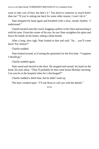want to take care of him, but that's it." *You deserve someone so much better than me!* "If you're asking me back for some other reason, I won't do it."

Nate dropped his head again and breathed with a slow, steady rhythm. "I understand."

Charlie backed onto the couch, hugging a pillow to his chest and nuzzling it with his nose. From the corner of his eye, he saw Nate straighten his spine and brace his hands on his knees, taking a deep breath.

After a long, slow sigh, Nate looked at him and said, "So… you'll come back? For Simon?"

Charlie nodded.

Nate looked around, as if seeing the apartment for the first time. "I suppose I should go."

Charlie nodded again.

Nate stood and moved to the door. He stopped and turned, his hand on the knob, his eyes shiny. "They'll probably let him come home Monday morning. Can you be at the hospital when he's discharged?"

Charlie nodded a third time, but he didn't look up.

The door creaked open. "I'll ask Rosa to call you with the details."

\*\*\*\*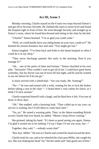## **Act III, Scene 3**

Monday morning, Charlie stayed on the 6 train two stops beyond Simon's and got off at Seventy-Seventh. He climbed the stairs to street level and found the hospital right in front of him. He went through Security and straight up to Simon's room, where he found him dressed and sitting in the chair by the bed.

"Charlie!" Simon beamed. "I'm so glad you could come."

"Well, we could hardly have you riding home on your own, could we?" He donned his serious-business face and said, "You might get lost."

Simon laughed. "I've been back and forth to this damn hospital so often I could do it in my sleep."

"They never discharge patients this early in the morning. How'd you manage it?"

"Ah… one of the perks of fame and fortune." Simon chuckled at his own joke. "Seriously? They couldn't wait to get rid of me. I could have gone home yesterday, but my doctor was out of town till last night, and he said he wanted to see me before he'd let me go."

A nurse arrived with a wheelchair. "Are you ready, Mr. Sonntag?"

"No—" he rose and turned with a wink, waiting for her to lock the brakes before taking a seat in the chair "—I heard there's veal cutlets for lunch, so I think I'll stick around."

Charlie surprised himself with a laugh, and he liked how it felt. *First one of those in three days.*

"Oh." She nodded, with a knowing look. "They called up to say your car service is waiting, but I'll tell them to come back later."

"No, no." He raised a warning palm. Then, in the fakest-sounding British accent Charlie had ever heard, he added, "Mustn't keep Driver waiting."

She grinned, taking his hand. "It's been so good seeing you again, Simon. I'm glad it turned out to be nothing. I'd say I hope I'll see you soon, but—"

Together, they said, "—nobody wants that!"

"Bye-bye, Millie." He turn to Charlie and cocked his head toward the door.

Charlie took his cue, and as he wheeled the chair past Millie, she caught his eye. She was shaking her head "no," but her smile said "take good care of him."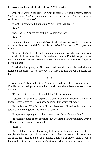Once they were in the elevator, Charlie took a few deep breaths. *Maybe this'll be easier standing behind him, where he can't see me?* "Simon, I want to say how sorry I am for—"

"Stop!" Simon raised that palm again. "Don't even try it."

"But, I—"

"No, Charlie. You've got nothing to apologize for."

" $But$ "

Simon pivoted in the chair and gave Charlie a look that would have struck terror in his heart if he didn't know better. *Whoa! I see where Nate gets that from!*

"Charlie. Regardless of what you did or did not do, or what you think you did or should have done, the fact is, in the last month, I've felt happy for the first time in years. If that's something you feel the need to apologize for, then go right ahead."

Charlie held his gaze, and Simon reached around, patting his hand where it rested on the chair. "There's my boy. Now, let's go find out what's really for lunch.

\*\*\*\*

When they'd finished eating, Simon excused himself to go take a nap. Charlie carried their plates through to the kitchen where Rosa was working at the sink.

"I'd have gotten those," she said, taking them from him.

Instead of her usual dour expression, Charlie detected a trace of a smile. "I know, I just wanted to tell you how delicious that white fish was."

Her smile grew. "That's one of Simon's favorites." She wiped her hand on a towel before resting it on his forearm. "Charlie…"

His eyebrows sprung up of their own accord. *She called me Charlie!*

"It's not my place to say anything, but I want to be sure you know what a difference you're making around here."

"Rosa, I—"

"No. If I don't finish I'll never say it. I'm sorry I haven't been very nice to you, but the last two years have been… impossible. It's taken a toll on me—on all of us. This used to be a happy home, Charlie. For thirty years, I looked forward to getting up every morning just to see what the new day would bring.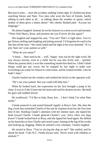But since Lester… since the accident, nothing's been right. It's broken my heart watching Simon and Nate. Two men who were the best of friends, hardly talking to each other at all… or talking about the weather or sports, which neither of them gives a damn about!" Her cheeks flushed pink. "Excuse my language."

He almost laughed. Instead, he set his features in a stern scowl and intoned, "Three Hail Marys, Rosa, and promise me you'll never do that again!"

She laughed and slapped his arm. "You see? That's it right there. You've got Simon smiling and laughing and joking around. I'd forgotten he used to be like that all the time." Her smile faded and the light in her eyes dimmed. "It's a pity Nate isn't your patient as well."

"What do you mean?"

"I mean… Nate used to be… well, 'happy' may not be the right word. He was always serious, even as a child, but he was also lively and… spirited. When his parents died, it was like something inside him died too. I didn't think things could get any worse, but he stopped by last night to make sure everything was ready for Simon to come home, and he looked terrible. Like he hadn't slept."

Charlie looked out the window and studied the bricks in the opposite wall.

"He's not your patient. But you could still help him."

When he looked back, the expression on her face brought a pang to his chest. It was as if she'd seen into his heart and read his dearest secrets. She held his gaze and nodded slowly.

He swallowed. "I'd like to help, Rosa, but… I don't think I'm what Nate needs."

Claude pranced in and seated himself regally at Rosa's feet. She shot the dog a look that reminded Charlie of the one he'd gotten from her the first time they'd met. Holding Claude's attention with her intense stare, she tipped her head toward Charlie. Claude glanced Charlie's way. *Since when can dogs frown?* Claude looked back to Rosa, and she tipped her head again. He shifted on his haunches to face Charlie and raised a paw, batting at the leg of his scrubs and looking up, begging. When he emitted a tiny whimper, Charlie laughed.

He turned to Rosa. "You're siccing the dog on me?" She smiled, and he shook his head. "Like W.C. Fields always said, 'Never work with children or animals'!"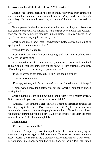Charlie was leaning back in the office chair, recovering from eating too much of another delicious dinner, when the elevator *ding* reverberated through the gallery. He knew who it would be, and he didn't have a clue what to do or say.

Nate appeared in the doorway and rested a hand on the jamb. Rosa was right, he looked awful. His suit and tie were crisp as ever, and his hair perfectly groomed, but the pain in his face was unmistakable. He looked Charlie in the eye. "I just want to say again how sorry I am."

Charlie shook his head. "I said it on Saturday, Nate. You've got nothing to apologize for. I'm the one who lied."

"You didn't lie. Not really."

"I promised you I wouldn't do something, and then I did it behind your back. It's the same thing."

Nate stepped forward. "The way I see it, you were smart enough, and kind enough, to do what you knew was for the best." His lips formed a grim line. "Even though some jerk made you promise not to."

"It's nice of you to say that, but… I think we should drop it."

"You're angry with me."

"I'm angry with myself!" *Use your indoor voice.* "I made a mess of things."

"Things were a mess long before you arrived, Charlie. You got us started sorting it all out."

Charlie pursed his lips and blew out a long breath. "It's a matter of trust, Nate. How could you ever trust me after what I did?"

"Charlie…" The smile that crept to Nate's lips stood in stark contrast to the hurt lingering in his eyes. "I've watched you with Zayda. I've never seen anyone who cares so much for the people around him." He took a step closer. "It's not just something you do. I can tell. It's who you are." He sat in the chair next to Charlie. "I trust you completely."

Charlie huffed.

"I'd trust you with my life."

It sounded "completely" over-the-top. Charlie tilted his head, studying the man, and the pieces began to fall into place. He knew trust wasn't the core issue—wasn't even sure why he'd brought it up. He knew he was a trustworthy person; knew in his bones he could be counted on. But the incident with Simon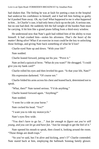had shaken that. The feeling he was at fault for putting a man in the hospital had undercut his confidence in himself, and it had left him feeling so guilty he'd pushed Nate away. *Oh, my God! What happened to me is what happened to him…* In Charlie's case, it had only been a fuck-up on the job. A serious one, but no one had died. He suddenly felt the full weight of the burden Nate must be carrying. It hit him like a grand piano falling from a third-story window.

He understood now that Nate's guilt had robbed him of the ability to trust himself. It had crushed him—stolen his aliveness. *That's the heart of the matter! Being alive!* What if an exercise in trust could be the key to unlocking those feelings, and giving Nate back something of what he'd lost?

Charlie eyed Nate up and down. "With your life?"

Nate nodded.

Charlie leaned forward, jutting out his jaw. "Prove it."

Nate arched a quizzical brow. "What do you want?" He shrugged. "I could give you my bank card?"

Charlie rolled his eyes and then leveled his gaze. "Is that your life, Nate?"

His expression darkened. "Of course not."

Charlie folded his arms across his chest and leaned back, determined not to speak.

"What, then?" Nate turned serious. "I'd do anything."

Charlie leaned forward again. "Anything?"

Nate nodded.

"I went for a ride on your horse."

Nate cocked his head. "Yes?"

"I want you to ride my motorcycle."

Nate's eyes flew wide.

"You don't have to go far…" *Just far enough to figure out you're still young, and you can let go and have fun.* "Just far enough to get the feel of it."

Nate opened his mouth to speak, then closed it, looking around the room. "Those things are death traps."

"So you've said, but I'm alive and kicking, aren't I?" Charlie contended. Nate stared back at him, employing the hallmark Sonntag family glower.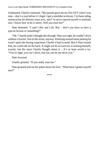Undaunted, Charlie continued, "My parents gave me my first ATV when I was nine—that's a year before it's legal. I got a minibike at eleven. I've been riding motorcycles for thirteen years now, and I've never injured myself or anybody else. I know how to do it safely. Will you trust me?"

Nate hesitated. "I said I did, and I do. But… don't you have to have a special license or something?"

"Oh." Charlie hadn't thought this through. Nate was right, he couldn't drive without a license. *Not on the street, anyway.* Puttering around some parking lot wasn't quite the freeing experience Charlie'd had in mind. But if Nate trusted him, he could ride on the back. It might not be an exercise in trusting himself, exactly, but the more Charlie thought about it… *It's at least worth a try.* "You're right, you can't drive, but you can let me drive you."

Nate frowned.

Charlie grinned. "If you really trust me."

Nate groaned and ran his palms down his face. "What have I gotten myself into?"

\*\*\*\*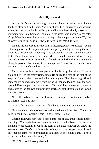#### **Act III, Scene 4**

Despite the fact it was morning, "Some Enchanted Evening" was playing loud and clear on Mind-Radio. And it must have been on repeat loop, because when the imaginary Emile de Becque in Charlie's head slowly dissolved morphing into Nate Sonntag—he noticed the water was starting to get cold. *Crap!* When he turned the valve all the way to the left, pointing at the "H," the shower warmed up. A little. *How long have I been standing here?*

Finding the bar of soap already in his hand, he got down to business—doing a thorough job on the important parts, and pretty much just rinsing the rest. After he'd hopped out—shivering—and toweled off, he brushed his hair and teeth. Then it was back to his room, where he made quick work of getting dressed. In no time he was through the front doors of the building and pounding along the pavement on his way to the storage unit. *Today, you have a date with destiny!* Well, somebody does… Maybe.

Thirty minutes later, he was powering his bike up the drive at Sonntag Stables, between the empty riding rings. He pulled to a stop at the foot of the steps in front of the house and killed the engine. Then he swung off and removed his helmet, hanging it from the handlebar and looking up as the door opened. Nate stepped out onto the porch. He didn't look altogether like a man on his way to the gallows, but Charlie's heart sank at the trepidation he saw on the man's face.

Nate stiffened and schooled his features. He stomped down the stairs and up to Charlie. "Let's do this."

"Not so fast, Leeroy. There are a few things we need to talk about first."

Nate gave him a dismissive look and moved toward the bike. "You don't have to coddle me, Charlie. I said I'd do it. Now let's go."

Charlie followed him and stepped into his space, their chests nearly touching. "You're the last man on earth I'd try to coddle, Nate." He paused a moment to collect himself when the scent of the man's shower gel threw his senses a curve. *That's how he smelled when you…* He snapped out of it, and stiffened his spine. "We don't need to talk about your feelings, Nate. We need to talk about how to do this safely."

"Oh," Nate said, looking abashed.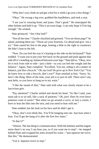"Why don't you climb on and get a feel for it while I go over a few things."

"Okay." He swung a leg over, grabbed the handlebars, and took a seat.

"I see you're wearing boots and jeans. That's good." He unstrapped the other helmet and held it up. "This is an extra-large. I can only hope it'll be big enough." He winked.

Nate grimaced. "Am I that bad?"

"Not all the time." Charlie chuckled and grinned. "You see those pegs?" he asked, pointing them out. "Those are your footrests. Go ahead and give 'em a try." Nate raised his feet to the pegs, leaning a little to the right to counteract the bike's lean to the left.

"Now. Do you feel the way it's leaning to the side on the kickstand?" Nate nodded. "I want you to put your feet back on the ground and push against that side till it's standing up, balanced between your legs." Nate did so. "Okay, now let it rock from side to side—just a little—so you can feel the weight and the balance." Again, Nate complied. "Excellent. You see, riding is all a matter of balance, just like a bicycle." *Oh, my God! He grew up in New York City!* "You do know how to ride a bicycle, don't you?" Nate smirked at him. "Sorry. So, here's the thing. Most of the time, your job is to just sit still. There aren't any seat belts, so you have to hang on to my waist."

"I like the sound of that," Nate said with what was clearly meant to be a lascivious grin.

"Pay attention!" Charlie smiled and shook his head. "So like I said, your main job is to sit still, like a sack of potatoes." *Oh, jeez! Does he even know potatoes come in sacks?* "But when we go around a curve, or turn a corner, I have to lean the bike into the turn, and you need to lean with me."

Nate nodded, but the look on his face said he didn't get it.

"Okay, don't over-think this. You'll be hanging onto me. Just lean when I lean. You'll get the hang of it after the first few times."

"Is that it?"

"Almost. The last thing is communication. With the helmets and the engine noise there's no way I can hear you, so if you want me to stop"—he stepped behind Nate and wrapped his arms around his waist—"just squeeze me twice, like this." He demonstrated.

"Got it. Squeeze twice to stop."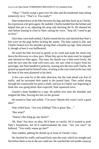"Okay." Charlie swept a gaze over his bike and the handsome man sitting tentatively on it. "That's it. You ready?"

Nate looked down at the bike between his legs and then back up at Charlie, his expression a bit grim again. He nodded. Charlie handed him the helmet and helped him put it on, adjusting the strap and checking the fit. He donned his own before leaning in close to Nate, raising his voice. "Step off. I need to get on first."

Once they were both settled, Charlie turned the key and checked that Nate's feet were on the pegs before kicking the starter. The bike roared to life, and Charlie looked over his shoulder giving Nate a thumbs-up sign. Nate returned it, though at best it was halfhearted.

He eased the bike forward as gently as he could and made the return trip down the driveway at a slow pace. When they got to the main road, he stopped and checked on Nate again. This time, his thumb was a little more lively. He took the turn onto the road with extra care, not sure what to expect from his passenger, but Nate handled it perfectly, leaning into the turn with Charlie. He picked up speed and let himself relax, reveling in the cool wind on his face and the heat of the man plastered to his back.

A few cars went by in the other direction, but the road ahead was free of traffic, and he increased their speed to the posted limit. They sailed along through the countryside for quite a while, and just as Charlie was beginning to think this was going better than expected, Nate squeezed twice.

Charlie's heart thudded to a stop. He pulled over onto the shoulder and stopped the bike, bracing his feet on the ground.

He turned to Nate and yelled, "I'm sorry! Maybe this wasn't such a good idea!"

Nate yelled back, "Are you kidding? This is great. But…"

"But what?"

"Doesn't this thing go any faster?"

*Oh, Nate! You have no idea.* He'd been so careful. He'd wanted to push Nate's boundaries, but he'd underestimated the man. "Are you sure?" he hollered, "You really wanna go fast?"

Nate nodded, jabbing his thumb up in front of Charlie's face.

He checked for traffic and eased back onto the road, which lay straight and flat before them as far as the eye could see. He watched the red needle creep up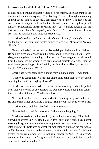to sixty miles per hour and kept it there a few moments. Then, he cranked the throttle full open in a sharp snap. The bike leapt forward, the engine screaming as their speed jumped to seventy, then eighty, then ninety. The force of the acceleration shot a jolt of adrenaline into his system, and its strength surprised him. He'd experienced this rush so many times, but with Nate hugging him the thrill was new. *I hope he's enjoying what he asked for.* Just as the needle was crossing the hundred mark, Nate squeezed twice.

Charlie slowed and pulled to the side of the road again, knowing he'd gone too far. He cut the engine and twisted around to face Nate. "I'm sorry! Are you all right?"

Nate scrabbled off the back of the bike and ripped the helmet from his head. He held his arms straight out from his sides, and he slowly turned a full threesixty, scanning their surroundings. When he faced Charlie again, the helmet fell from his hand and he wrapped his arms around himself, swaying. Then he straightened, stretching to his full height, and threw his head back, screaming to the sky, "Whooooooooo!!!!!!!!"

Charlie had never heard such a sound from a human being. It was feral.

"That. Was. Amazing!" Nate rocked on the balls of his feet. "I've never felt anything like that! I'm tingling all over!"

Charlie was astonished. When he'd set out that morning, his best hope had been that Nate would be able tolerate his own discomfort. Seeing him totally into the rush of it knocked Charlie for a loop.

Nate strode back over to the bike, his boots crunching the gravel underfoot. He planted his hands on Charlie's thighs. "Thank you!" His eyes were on fire.

Charlie snorted and then chortled. "You're welcome?"

Nate looked puzzled for a moment. "Why are you laughing?"

Charlie sobered and took a breath, trying to think what to say. Mind-Radio Showtunes offered up "The Road You Didn't Take," and it served as a potent warning. Imagining a future where he might look back and regret not risking a relationship with Nate was an excellent motivator to summon his courage… and his honesty. "I was scared my idea for this ride might be a mistake. When I trusted my gut with Simon, well… look what happened. And I—" *Am I really gonna tell him this?* "—I felt guilty. I had done what I thought best… and someone I cared for got hurt."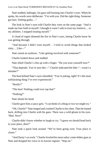Nate nodded, haltingly, his gaze still burning into Charlie's eyes. When he spoke, his words were deliberate. "I'm with you. Did the right thing. Someone got hurt. Feeling guilty…"

The look in Nate's eyes told Charlie they were on the same page. "And it made me lose faith in myself. I thought it wasn't safe to trust my instincts… or my abilities. I stopped trusting myself."

A cloud of regret dimmed the fire in Nate's eyes, letting Charlie know he was getting through.

"And because I didn't trust myself… I tried to avoid things that looked risky… Like—"

Nate raised an eyebrow. "Like getting involved with someone?"

Charlie looked down and nodded.

Nate tilted Charlie's chin up with a finger. "Do you trust yourself now?"

"That depends. You're sure this—" Charlie indicated the bike "—wasn't a mistake?"

The heat behind Nate's eyes rekindled. "You're joking, right? It's the most exhilarating thing I've ever experienced."

"Really?"

"The best! Nothing could ever top that!"

"Nothing?"

Nate shook his head.

Charlie gave him a saucy grin. "I can think of a thing or two we might try."

"Oh, Charlie!" Nate lunged and crushed Charlie to his chest. Then he leaned back, drilling into Charlie with his gaze. There was a wild gleam in his eyes. "Bed. Now!"

Charlie didn't know whether to laugh or cry. "I guess we should head back to your place, then?"

Nate took a quick look around. "We've been going west. Your place is closer."

"And Dusty's at work." Charlie leveled his most sultry come-hither gaze at Nate and dropped his voice to its lowest register. "Hop on."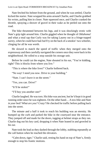Nate fetched his helmet from the ground, and when he was settled, Charlie kicked the starter. Nate wrapped his arms around Charlie, and Charlie grabbed his wrists, pulling him in closer. Nate squeezed once, and Charlie cranked the throttle, spraying a shower of gravel in their wake as he peeled out onto the road.

The bike thrummed between his legs, and it was shockingly erotic with Nate's grip tight around him. Charlie giggled when he thought of *Oklahoma!* and what a total sap that Curly was for taking Laurey out in a fringe-topped surrey, when he could have had Jud Fry on the back of a smokin' two-wheeler, clinging for all he was worth.

He slowed to match the speed of traffic when they merged onto the expressway and then carefully navigated the corners once they were back in his neighborhood. He rolled to a stop outside his storage unit.

Before he could cut the engine, Nate shouted in his ear, "You're kidding, right? This is blocks from where you live."

"This is where the bike lives!" Charlie hollered back.

"No way! I need you now. Drive to your building."

"Nate. I can't leave it on the street."

"Yes, you can. Drive!"

"It'll be stolen!"

"I'll buy you another one!"

Charlie laughed. He was torn. His bike was ancient, but he'd kept it in good running order since he was eighteen. On the other hand… *A new bike* and *Nate in your bed? What are you? Crazy?* He checked for traffic before pulling back into the street.

The minute and a half it took to reach his building was an eternity. He bumped up the curb and parked the bike in the courtyard near the entrance. They jumped off and made for the doors, tugging at helmet straps as they ran. Charlie dug out his key card, dropping it when Nate leaned in and growled in his ear.

Nate took the lead as they dashed through the lobby, stabbing repeatedly at the call button when he reached the elevators.

"Calm down, tiger," Charlie said, resting his hand on top of Nate's, firmly enough to stop his frantic motions.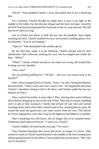"Never!" Nate grabbed Charlie's wrist and pulled him in for a blistering kiss.

For a moment, Charlie thought he might have to give it up right in the middle of the lobby, but the elevator *dinged* and the door slid open. *Saved by the bell!* Nate kissed and groped him furiously as the car crept upward. The ride had never taken so long.

Just as Charlie was about to slide the key into the deadbolt, Nate began nuzzling his neck. Charlie fumbled his keys and turned a smiling glance over his shoulder. "You're not helping."

"Open it!" Nate demanded with another growl.

By the time they made it to the bedroom, Charlie already had his shirt unbuttoned. Nate followed, undoing his own, but he stopped just inside the door. "Whoa!"

"What?" Charlie whirled around to see what was wrong and found Nate looking over his shoulder.

"Nice view!"

*Are you fucking kidding me?* "All that… and now you wanna look at the skyline?"

Nate's focus snapped back to Charlie. "Sorry," he said, closing the distance between them. "There's only one view I want to see." He slipped the shirt from Charlie's shoulders, letting it fall to the floor, and Charlie undid the last two buttons on Nate's.

They worked feverishly at each other's flies, shoving their pants halfway down before sitting hip by hip on the side of bed. They bent in unison, doubling over to pull at their bootlaces. Charlie had kicked off one boot and started working on the other when Nate's hand rested on his, startling him to a stop. He turned his head and gazed into eyes mere inches from his own. The inferno he'd seen raging there since their stop on the highway had ebbed to a smolder.

Nate's breathing was still heavy, but no longer that of an untamed beast. Tenderness had replaced ferocity. "I want you, Charlie."

Charlie nodded, his head barely moving. "I'm yours."

They finished shucking their boots and jeans, no longer in a hurry. Nate turned to watch as Charlie eased himself to the middle of the bed, leaning back and propping himself on his elbows. Nate looked him up and down. "My God, you're beautiful."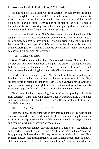No one had ever said those words to Charlie—or, not anyone he could believe. Though he swore he couldn't see it in the mirror, he took Nate at his word. "You too," he breathed. Nate crawled across the mattress and then rested a palm on Charlie's chest, lowering him to lie flat on the bed. He braced himself on his arms, hovering over Charlie and gazing down at him for a moment before leaning down to press their lips together.

After all that frantic haste, Nate's kisses were slow and intentional. His tongue explored Charlie's mouth while one hand roved over his body. Nate's wrist bumped against Charlie's proud erection. He gripped it, gently stroking a few times. Then he cupped Charlie's nuts and rolled them in his hand. He began exploring lower, running a fingertip down Charlie's taint and pushing against his tight opening. "I want you."

"Yes!" Charlie whispered.

When Charlie shoved at his chest, Nate rose to his knees. Charlie rolled to the side and fetched the slick from the nightstand drawer, handing it to Nate. Nate laid it aside on the comforter. "Not yet." He spread Charlie's legs and knelt between them, slipping his hands under Charlie's knees and lifting them.

Charlie got the idea and replaced Nate's hands with his own, pulling his legs back as far as he could and rocking backward to expose his hole. Nate scooted closer so his thighs supported Charlie's back. Shivers ran up Charlie's spine as Nate massaged the globes of his butt with silky palms, and his fingertips tugged at the puckered flesh around his pulsing entrance.

Nate rotated his hands, stretching Charlie wider and probing at his hole from each side with the tips of his thumbs. Then he pushed Charlie's ass higher and lowered his head till the tip of his tongue flicked back and forth across Charlie's sweet spot.

"Oh, God. Nate!" he cried out. "God!"

Nate chuckled, and the combination of vibrating stubble with a wisp of hot breath across his hole had Charlie clenching his ass and squeezing the muscles in his groin. Nate probed into him with his tongue, and Charlie began panting and gasping, a whimper escaping on each exhale.

Nate withdrew his tongue, burying his nose in Charlie's ass. He pushed in and growled, jerking his head left and right. Charlie tightened his grip on his legs, pulling his knees down till they were nearly against his chest. Nate compensated, forcing his thighs tighter against Charlie's back. Then he slowly slid his head upward, driving his nose along Charlie's taint and spreading his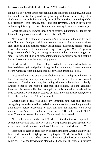tongue flat as it swept across his opening. Nate continued sliding up… up, until the stubble on his chin grazed that quivering crinkle of flesh, setting off a shudder that wracked Charlie's body. Nate slid his face back down the path he had just taken—chin, tongue, nose—and then reversed. Up, then down, over and over, quickening the pace, his features becoming drenched in his own spit.

Charlie thought he knew the meaning of ecstasy, but nothing he'd felt in his life could begin to compare with this… this… *Oh, God!*

Nate slowed to a stop and rose once again to his knees, locking his gaze with Charlie's. He wiped both hands down his face and flicked them to either side. Then he jiggled his head rapidly left and right, blubbering his lips to make a noise that sounded like a horse nickering. *Or one of The Three Stooges?* A laugh burst out of Charlie, and Nate grinned down at him while reaching to his side. He grabbed the bottle of lube, holding it up for Charlie to see and cocking his head to one side with an inquiring glance.

Charlie nodded. His feet had collapsed to the bed on either side of Nate, so he raised them again and pulled his legs back to where they'd been a moment before, watching Nate's movements intently as he greased his cock.

Nate rested one hand on the back of Charlie's thigh and gripped himself in the other, angling his hips and aiming for his prize. His crown pressed resolutely at Charlie's entrance, demanding admittance, but waiting patiently. Charlie clenched and relaxed, clenched and relaxed, as Nate gradually increased his pressure. He clenched again, and this time when he relaxed the head popped in. Nate instantly stopped pushing, allowing his throbbing crown to rest there within the tight ring of muscle.

Charlie sighed. This was unlike any sensation he'd ever felt. The few college boys who'd topped him had taken a minute or two, stretching him with their fingers before proceeding to plow him into the mattress. He'd never imagined being entered could be so… so… *perfect.* He looked up into Nate's eyes. There was no need for words. He hummed his approval.

Nate inclined a bit farther, and Charlie felt the dilation as he opened to accept the widening girth of Nate's shaft. Nate paused again, perhaps halfway in, and gave Charlie an assessing look. Charlie smiled and whispered, "Yes."

Nate pushed again and slid inch by delicious inch into Charlie, until prickly hairs tickled where his thighs pressed tight against Charlie's ass. Nate arched his back, moaning as he pushed harder, seeking more, but he was in as far as he could go. He leaned forward and planted his hands on either side of Charlie's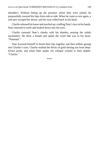shoulders. Without letting up the pressure where they were joined, he purposefully swayed his hips from side to side. When he came to rest again, a soft purr escaped his throat, and his eyes rolled back in his head.

Charlie released his knees and reached up, cradling Nate's face in his hands. Nate returned to earth and looked down into his eyes.

Charlie caressed Nate's cheeks with his thumbs, sensing the subtle asymmetry. He drew a breath and spoke the word that was in his heart. "Natanael."

Nate lowered himself to brush their lips together and then stilled, gazing into Charlie's eyes. Charlie studied the flecks of gold shining out from deepbrown pools, and when Nate spoke, his whisper echoed in their depths. "Charlie."

\*\*\*\*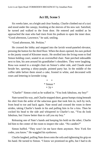## **Act III, Scene 5**

Six weeks later, on a bright and clear Sunday, Charlie climbed out of a taxi and stood under the canopy, brushing at the sleeves of his new suit. Satisfied, he turned and walked to the front door. He entered and nodded as he approached the man who had risen from his podium to open the inner door. "Good afternoon, Lawrence," he said, smiling.

"Good afternoon, Mr. Perkins."

He crossed the lobby and stepped into the lavish wood-paneled elevator, pressing the button for the third floor. When the doors opened, his ears perked to the jaunty sound of Klezmer music. He strolled into the living room to find Simon holding court, seated in an overstuffed chair. Nate perched sidesaddle next to him, his arm around his grandfather's shoulders. They were laughing. Rosa was seated in a straight chair on Simon's other side, and Claude stood beside her, sporting a shiny-purple, pointed party hat. In the middle of the coffee table before them stood a cake, frosted in white, and decorated with roses and lettering in lavender icing:

$$
\begin{array}{c}\n * \\
* \quad *\n * \quad 79\n \end{array}
$$

"Charlie!" Simon cried as he walked in. "You look fabulous, my boy!"

Nate turned his way, and Charlie stopped short, goose bumps rising beneath his shirt from the ardor of the salacious gaze that took him in, inch by inch, from head to toe and back again. Nate stood and crossed the room in three strides, taking Charlie's hands in his and pulling him in for a kiss. Then he cocked his head to the side and whispered in Charlie's ear, "You do look fabulous, but I know better than to call you my boy."

Releasing one of Nate's hands and keeping his hold on the other, Charlie led him to the center of the room to inspect the cake. "No candles?"

Simon huffed. "They won't let me have them anymore. New York fire codes, you know." He waggled his eyebrows.

Charlie laughed, pulling Nate down onto the sofa and tightening his grip on his hand. He turned to Simon. "I know we promised no gifts, but I had to do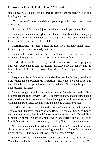something," he said, extracting a large envelope from his breast pocket and handing it across.

"Oh, Charlie—" Simon undid the clasp and slipped his fingers inside "—a card is fine."

"It's not a card. It's… well, just something I thought you might like."

Simon gave him a curious glance and then slid out the contents, studying the cover. "Cortela High School, 2008, *Be My Guest*." He squinted and then looked up. "From when you played Jeff?"

Charlie nodded. "My mom had it in the attic. She keeps everything! I know it's nothing much, but I wanted you to have it."

Simon looked down and opened the program, scanning the inside for a moment before pressing it to his chest. "It means the world to me, son."

Charlie's heart swelled, stirred by a sudden awareness of what the people in this room had so quickly come to mean to him. Especially the man holding his hand. Strains of "Can't Help Lovin' That Man of Mine" began to play in his head.

They'd been dating for nearly a month by the time Charlie finally convinced Nate to have Simon's doctors reevaluate him—and to listen to their advice this time. He'd been as surprised as he was pleased when Nate actually agreed to their recommendations.

Simon's weighings and vitals had been reduced from daily to weekly. Nate had changed the contract with Charlie's agency, and now a nurse came once a week to take his blood sample and check his sugar level. Rosa was entrusted with making sure Simon took his pills and helping with his eye drops.

Charlie had gone back to his old routine of home visits, and while his Tuesday and Thursday evenings at Mrs. Barber's School of Song and Dance remained sacrosanct, he visited Simon as often as he could. He and Nate occasionally spent the night at Simon's when they weren't at Nate's place or Charlie's apartment. He'd even managed to drag Nate to see a few musicals.

Nate leaned over and brushed his lips across Charlie's cheek. Charlie was about to return the favor when something in the look on Simon's face caught his attention. He quirked an eyebrow at the old man. "What?"

Simon shook his head and took a deep breath. "I'm sorry. I can't help it. When I look at the two of you… I see Lester and me when we were young. We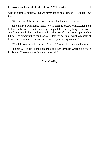went to birthday parties… but we never got to hold hands." He sighed. "Or kiss."

"Oh, Simon." Charlie swallowed around the lump in his throat.

Simon raised a weathered hand. "No, Charlie. It's good. What Lester and I had, we had to keep private. In a way, that put it beyond anything other people could ever touch, but… when I look at the two of you, I see hope. Such a future! The opportunities you have…" A tear ran down his wrinkled cheek. "I have to tell you boys, you two are... well... you've inspired me!"

"What do you mean by 'inspired' Zayda?" Nate asked, leaning forward.

"I mean…" He gave Nate a big smile and then turned to Charlie, a twinkle in his eye. "I have an idea for a new musical."

## *[CURTAIN]*